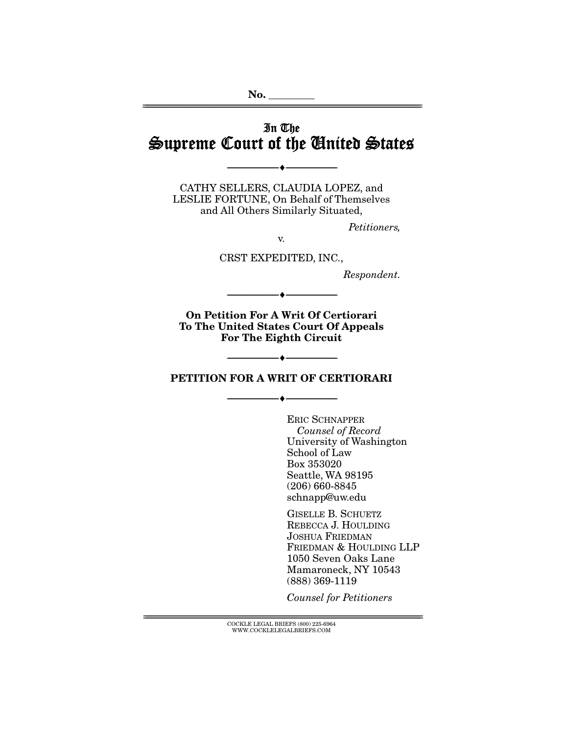## In The Supreme Court of the United States

--------------------------------- ♦ ---------------------------------

================================================================================================================

CATHY SELLERS, CLAUDIA LOPEZ, and LESLIE FORTUNE, On Behalf of Themselves and All Others Similarly Situated,

Petitioners,

v.

CRST EXPEDITED, INC.,

Respondent.

**On Petition For A Writ Of Certiorari To The United States Court Of Appeals For The Eighth Circuit** 

--------------------------------- ♦ ---------------------------------

### **PETITION FOR A WRIT OF CERTIORARI**

--------------------------------- ♦ ---------------------------------

--------------------------------- ♦ ---------------------------------

ERIC SCHNAPPER Counsel of Record University of Washington School of Law Box 353020 Seattle, WA 98195 (206) 660-8845 schnapp@uw.edu

GISELLE B. SCHUETZ REBECCA J. HOULDING JOSHUA FRIEDMAN FRIEDMAN & HOULDING LLP 1050 Seven Oaks Lane Mamaroneck, NY 10543 (888) 369-1119

Counsel for Petitioners

 $\textsc{COCKLE}$ LEGAL BRIEFS (800) 225-6964 WWW.COCKLELEGALBRIEFS.COM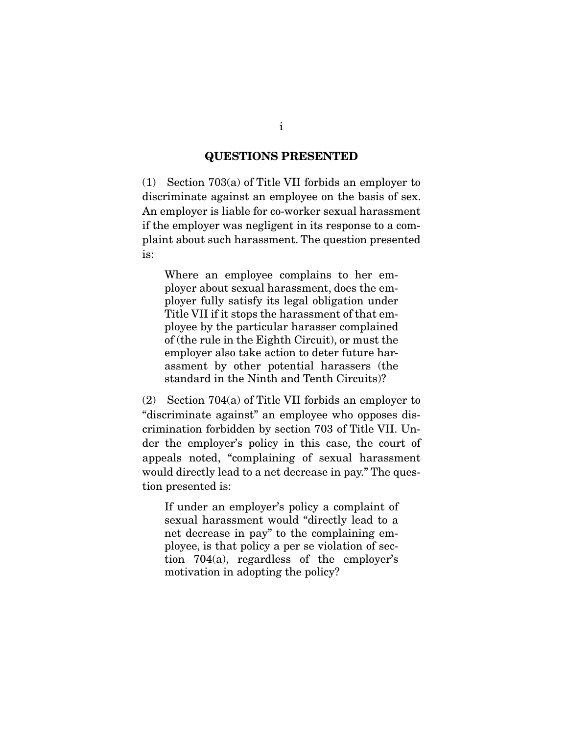#### **QUESTIONS PRESENTED**

(1) Section 703(a) of Title VII forbids an employer to discriminate against an employee on the basis of sex. An employer is liable for co-worker sexual harassment if the employer was negligent in its response to a complaint about such harassment. The question presented is:

Where an employee complains to her employer about sexual harassment, does the employer fully satisfy its legal obligation under Title VII if it stops the harassment of that employee by the particular harasser complained of (the rule in the Eighth Circuit), or must the employer also take action to deter future harassment by other potential harassers (the standard in the Ninth and Tenth Circuits)?

(2) Section 704(a) of Title VII forbids an employer to "discriminate against" an employee who opposes discrimination forbidden by section 703 of Title VII. Under the employer's policy in this case, the court of appeals noted, "complaining of sexual harassment would directly lead to a net decrease in pay." The question presented is:

If under an employer's policy a complaint of sexual harassment would "directly lead to a net decrease in pay" to the complaining employee, is that policy a per se violation of section 704(a), regardless of the employer's motivation in adopting the policy?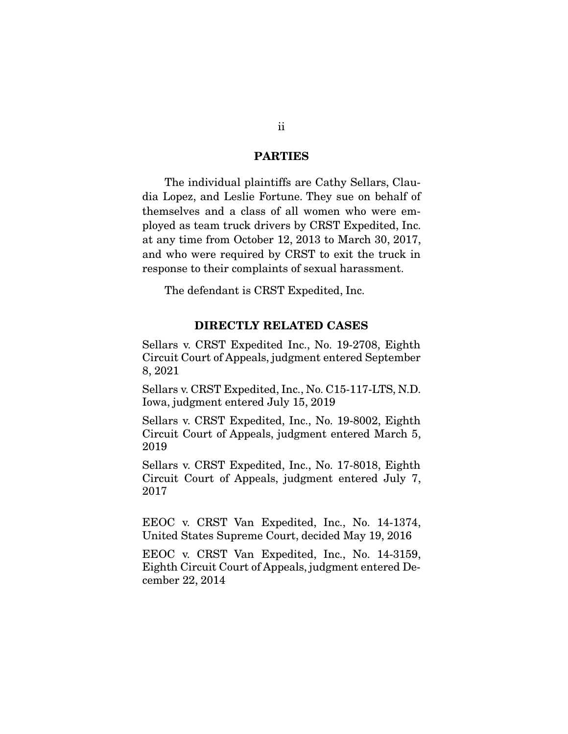#### **PARTIES**

 The individual plaintiffs are Cathy Sellars, Claudia Lopez, and Leslie Fortune. They sue on behalf of themselves and a class of all women who were employed as team truck drivers by CRST Expedited, Inc. at any time from October 12, 2013 to March 30, 2017, and who were required by CRST to exit the truck in response to their complaints of sexual harassment.

The defendant is CRST Expedited, Inc.

#### **DIRECTLY RELATED CASES**

Sellars v. CRST Expedited Inc., No. 19-2708, Eighth Circuit Court of Appeals, judgment entered September 8, 2021

Sellars v. CRST Expedited, Inc., No. C15-117-LTS, N.D. Iowa, judgment entered July 15, 2019

Sellars v. CRST Expedited, Inc., No. 19-8002, Eighth Circuit Court of Appeals, judgment entered March 5, 2019

Sellars v. CRST Expedited, Inc., No. 17-8018, Eighth Circuit Court of Appeals, judgment entered July 7, 2017

EEOC v. CRST Van Expedited, Inc., No. 14-1374, United States Supreme Court, decided May 19, 2016

EEOC v. CRST Van Expedited, Inc., No. 14-3159, Eighth Circuit Court of Appeals, judgment entered December 22, 2014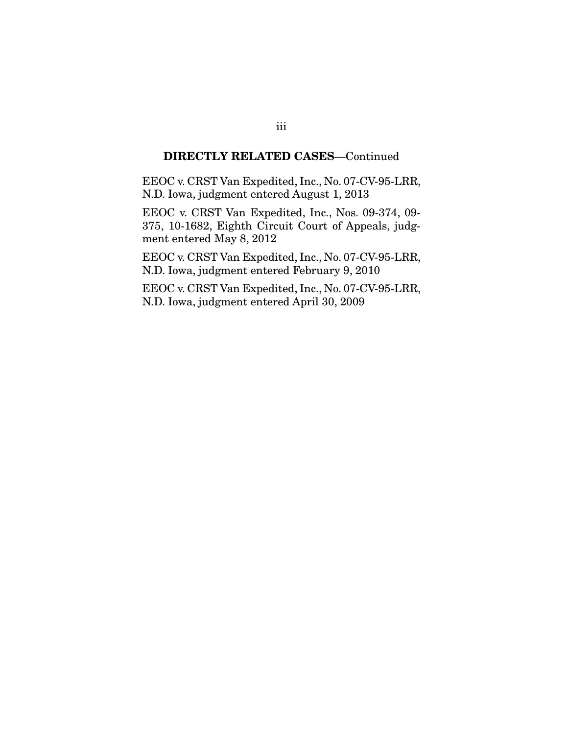### **DIRECTLY RELATED CASES**—Continued

EEOC v. CRST Van Expedited, Inc., No. 07-CV-95-LRR, N.D. Iowa, judgment entered August 1, 2013

EEOC v. CRST Van Expedited, Inc., Nos. 09-374, 09- 375, 10-1682, Eighth Circuit Court of Appeals, judgment entered May 8, 2012

EEOC v. CRST Van Expedited, Inc., No. 07-CV-95-LRR, N.D. Iowa, judgment entered February 9, 2010

EEOC v. CRST Van Expedited, Inc., No. 07-CV-95-LRR, N.D. Iowa, judgment entered April 30, 2009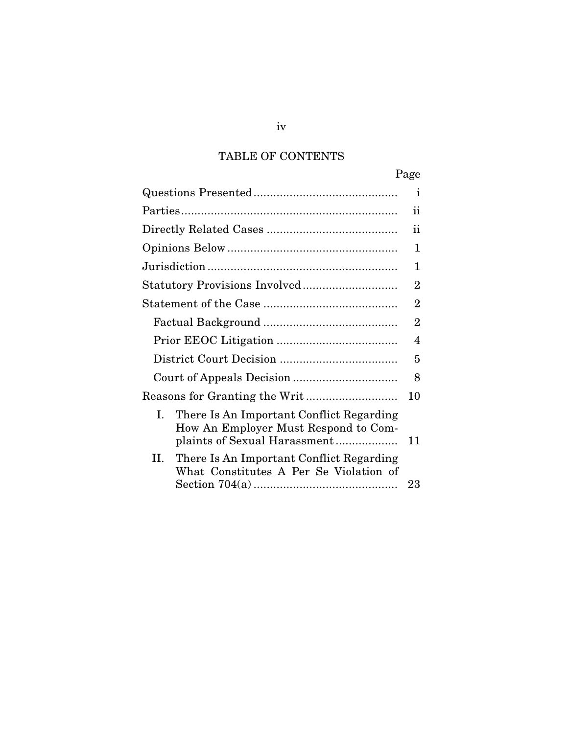## TABLE OF CONTENTS

|                                                                                                                        | Page           |
|------------------------------------------------------------------------------------------------------------------------|----------------|
|                                                                                                                        | 1              |
|                                                                                                                        | 11             |
|                                                                                                                        | ii             |
|                                                                                                                        | 1              |
|                                                                                                                        | 1              |
|                                                                                                                        | 2              |
|                                                                                                                        | $\overline{2}$ |
|                                                                                                                        | $\overline{2}$ |
|                                                                                                                        | 4              |
|                                                                                                                        | 5              |
|                                                                                                                        | 8              |
|                                                                                                                        | 10             |
| There Is An Important Conflict Regarding<br>L.<br>How An Employer Must Respond to Com-<br>plaints of Sexual Harassment | 11             |
| II.<br>There Is An Important Conflict Regarding<br>What Constitutes A Per Se Violation of                              | 23             |

iv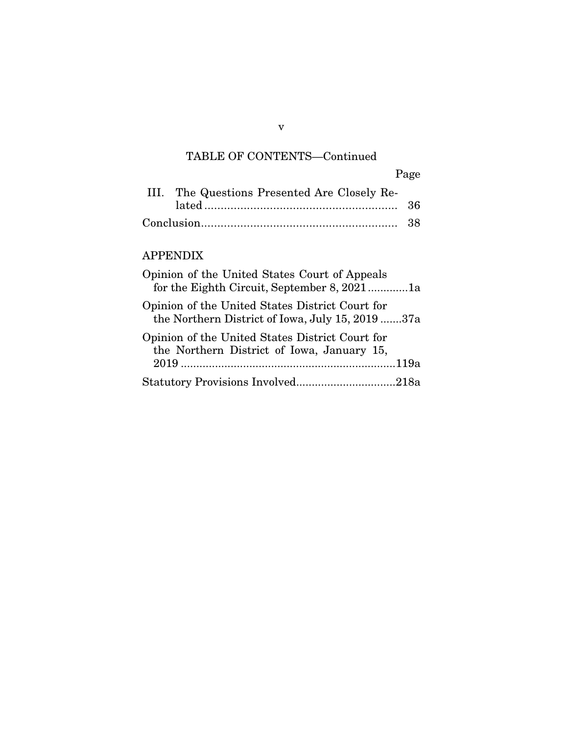## TABLE OF CONTENTS—Continued

|                                              | Page |
|----------------------------------------------|------|
| III. The Questions Presented Are Closely Re- |      |
|                                              |      |
|                                              |      |

### APPENDIX

| Opinion of the United States Court of Appeals<br>for the Eighth Circuit, September 8, 20211a        |  |
|-----------------------------------------------------------------------------------------------------|--|
| Opinion of the United States District Court for<br>the Northern District of Iowa, July 15, 2019 37a |  |
| Opinion of the United States District Court for<br>the Northern District of Iowa, January 15,       |  |
|                                                                                                     |  |
|                                                                                                     |  |

v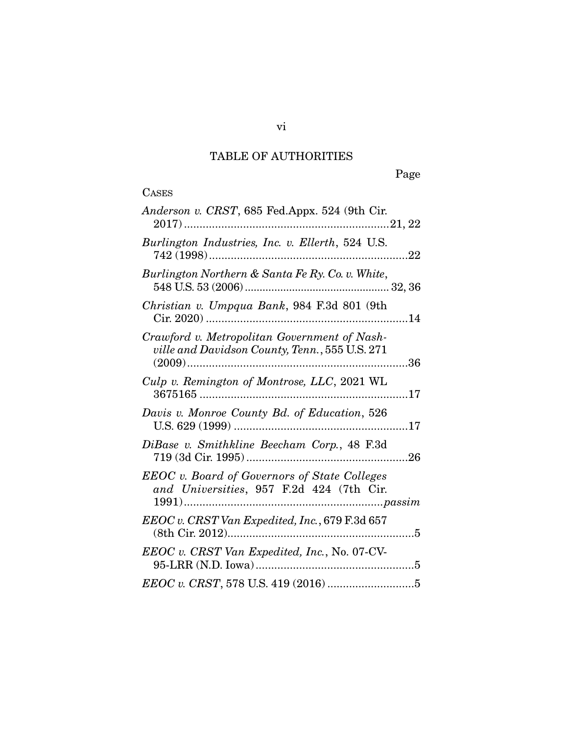# TABLE OF AUTHORITIES

Page

| Anderson v. CRST, 685 Fed.Appx. 524 (9th Cir.                                                   |
|-------------------------------------------------------------------------------------------------|
| Burlington Industries, Inc. v. Ellerth, 524 U.S.                                                |
| Burlington Northern & Santa Fe Ry. Co. v. White,                                                |
| Christian v. Umpqua Bank, 984 F.3d 801 (9th                                                     |
| Crawford v. Metropolitan Government of Nash-<br>ville and Davidson County, Tenn., 555 U.S. 271  |
| Culp v. Remington of Montrose, LLC, 2021 WL                                                     |
| Davis v. Monroe County Bd. of Education, 526                                                    |
| DiBase v. Smithkline Beecham Corp., 48 F.3d                                                     |
| <b>EEOC</b> v. Board of Governors of State Colleges<br>and Universities, 957 F.2d 424 (7th Cir. |
| EEOC v. CRST Van Expedited, Inc., 679 F.3d 657                                                  |
| EEOC v. CRST Van Expedited, Inc., No. 07-CV-                                                    |
|                                                                                                 |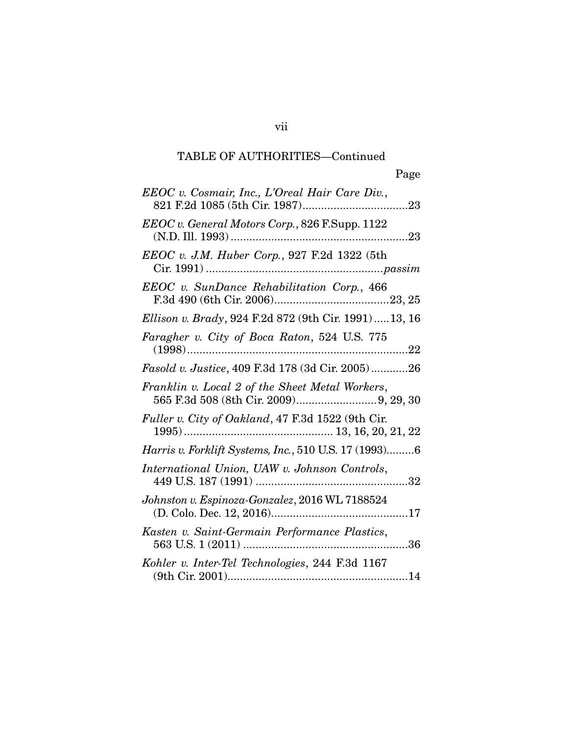vii

| EEOC v. Cosmair, Inc., L'Oreal Hair Care Div.,         |
|--------------------------------------------------------|
| EEOC v. General Motors Corp., 826 F.Supp. 1122         |
| <i>EEOC v. J.M. Huber Corp.</i> , 927 F.2d 1322 (5th   |
| EEOC v. SunDance Rehabilitation Corp., 466             |
| Ellison v. Brady, 924 F.2d 872 (9th Cir. 1991)  13, 16 |
| Faragher v. City of Boca Raton, 524 U.S. 775           |
| Fasold v. Justice, 409 F.3d 178 (3d Cir. 2005)26       |
| Franklin v. Local 2 of the Sheet Metal Workers,        |
| Fuller v. City of Oakland, 47 F.3d 1522 (9th Cir.      |
| Harris v. Forklift Systems, Inc., 510 U.S. 17 (1993)6  |
| International Union, UAW v. Johnson Controls,          |
| Johnston v. Espinoza-Gonzalez, 2016 WL 7188524         |
| Kasten v. Saint-Germain Performance Plastics,          |
| Kohler v. Inter-Tel Technologies, 244 F.3d 1167        |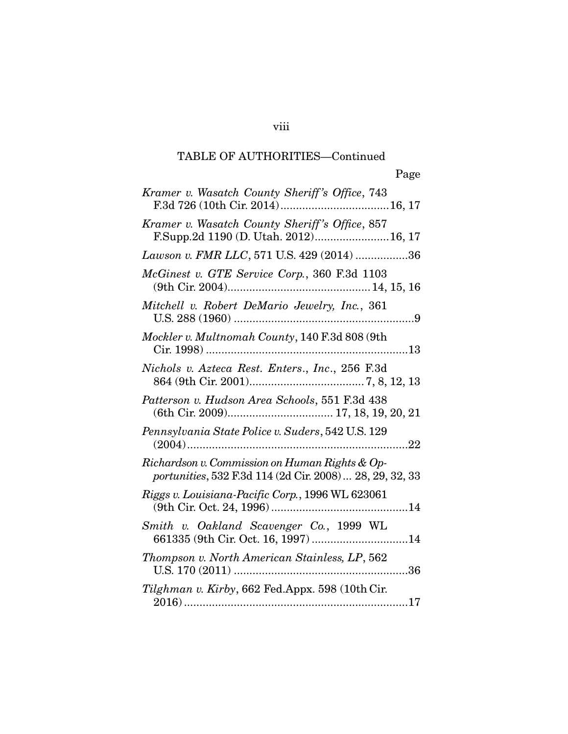viii

| Kramer v. Wasatch County Sheriff's Office, 743                                                             |
|------------------------------------------------------------------------------------------------------------|
| Kramer v. Wasatch County Sheriff's Office, 857<br>F.Supp.2d 1190 (D. Utah. 2012) 16, 17                    |
| Lawson v. FMR LLC, 571 U.S. 429 (2014) 36                                                                  |
| McGinest v. GTE Service Corp., 360 F.3d 1103                                                               |
| Mitchell v. Robert DeMario Jewelry, Inc., 361                                                              |
| Mockler v. Multnomah County, 140 F.3d 808 (9th                                                             |
| Nichols v. Azteca Rest. Enters., Inc., 256 F.3d                                                            |
| Patterson v. Hudson Area Schools, 551 F.3d 438                                                             |
| Pennsylvania State Police v. Suders, 542 U.S. 129                                                          |
| Richardson v. Commission on Human Rights & Op-<br>portunities, 532 F.3d 114 (2d Cir. 2008)  28, 29, 32, 33 |
| Riggs v. Louisiana-Pacific Corp., 1996 WL 623061                                                           |
| Smith v. Oakland Scavenger Co., 1999 WL<br>661335 (9th Cir. Oct. 16, 1997) 14                              |
| Thompson v. North American Stainless, LP, 562                                                              |
| Tilghman v. Kirby, 662 Fed.Appx. 598 (10th Cir.                                                            |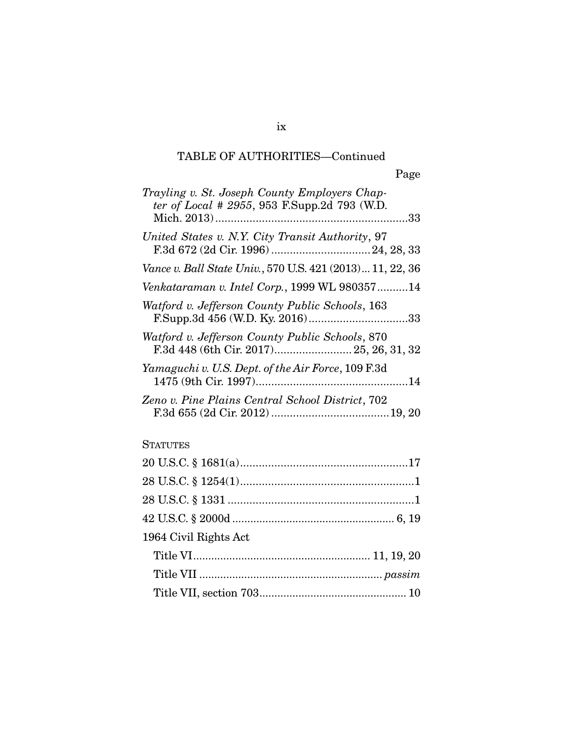| Trayling v. St. Joseph County Employers Chap-<br>ter of Local # 2955, 953 F.Supp.2d 793 (W.D. |
|-----------------------------------------------------------------------------------------------|
| United States v. N.Y. City Transit Authority, 97                                              |
| Vance v. Ball State Univ., 570 U.S. 421 (2013) 11, 22, 36                                     |
| Venkataraman v. Intel Corp., 1999 WL 98035714                                                 |
| Watford v. Jefferson County Public Schools, 163                                               |
| Watford v. Jefferson County Public Schools, 870<br>F.3d 448 (6th Cir. 2017) 25, 26, 31, 32    |
| Yamaguchi v. U.S. Dept. of the Air Force, 109 F.3d                                            |
| Zeno v. Pine Plains Central School District, 702                                              |

## **STATUTES**

| 1964 Civil Rights Act |  |
|-----------------------|--|
|                       |  |
|                       |  |
|                       |  |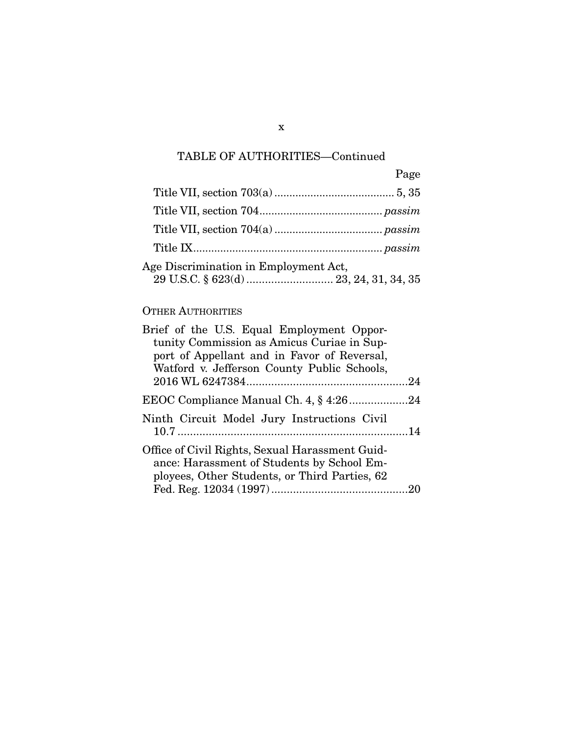|                                       | Page |
|---------------------------------------|------|
|                                       |      |
|                                       |      |
|                                       |      |
|                                       |      |
| Age Discrimination in Employment Act, |      |
|                                       |      |

### OTHER AUTHORITIES

| Brief of the U.S. Equal Employment Oppor-       |  |
|-------------------------------------------------|--|
| tunity Commission as Amicus Curiae in Sup-      |  |
| port of Appellant and in Favor of Reversal,     |  |
| Watford v. Jefferson County Public Schools,     |  |
|                                                 |  |
|                                                 |  |
| Ninth Circuit Model Jury Instructions Civil     |  |
|                                                 |  |
| Office of Civil Rights, Sexual Harassment Guid- |  |
| ance: Harassment of Students by School Em-      |  |
| ployees, Other Students, or Third Parties, 62   |  |
|                                                 |  |

x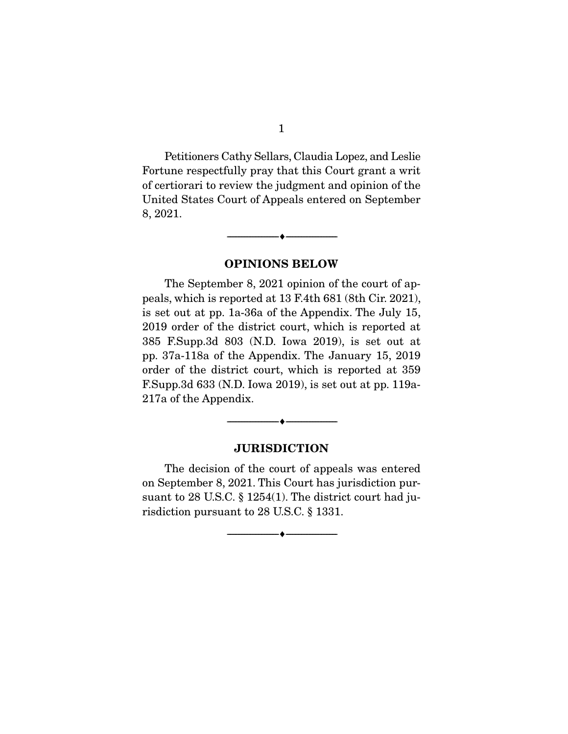Petitioners Cathy Sellars, Claudia Lopez, and Leslie Fortune respectfully pray that this Court grant a writ of certiorari to review the judgment and opinion of the United States Court of Appeals entered on September 8, 2021.

**OPINIONS BELOW** 

--------------------------------- ♦ ---------------------------------

The September 8, 2021 opinion of the court of appeals, which is reported at 13 F.4th 681 (8th Cir. 2021), is set out at pp. 1a-36a of the Appendix. The July 15, 2019 order of the district court, which is reported at 385 F.Supp.3d 803 (N.D. Iowa 2019), is set out at pp. 37a-118a of the Appendix. The January 15, 2019 order of the district court, which is reported at 359 F.Supp.3d 633 (N.D. Iowa 2019), is set out at pp. 119a-217a of the Appendix.

### **JURISDICTION**

--------------------------------- ♦ ---------------------------------

The decision of the court of appeals was entered on September 8, 2021. This Court has jurisdiction pursuant to 28 U.S.C. § 1254(1). The district court had jurisdiction pursuant to 28 U.S.C. § 1331.

--------------------------------- ♦ ---------------------------------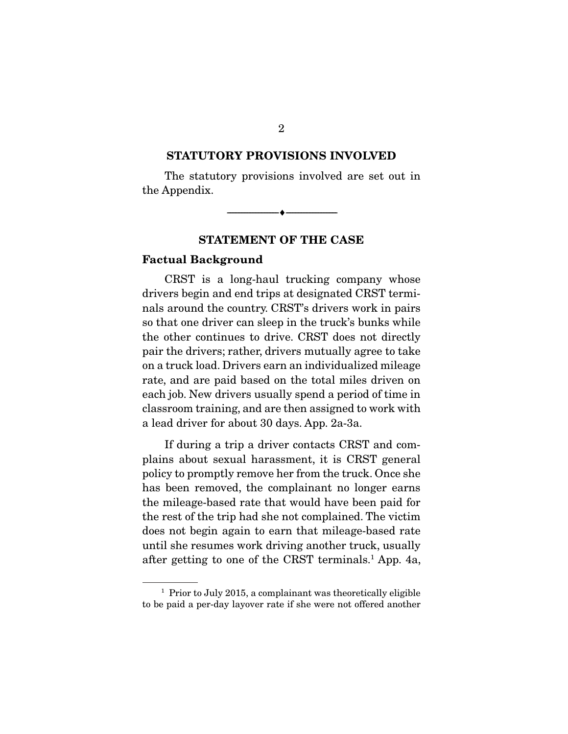### **STATUTORY PROVISIONS INVOLVED**

The statutory provisions involved are set out in the Appendix.

--------------------------------- ♦ ---------------------------------

### **STATEMENT OF THE CASE**

### **Factual Background**

CRST is a long-haul trucking company whose drivers begin and end trips at designated CRST terminals around the country. CRST's drivers work in pairs so that one driver can sleep in the truck's bunks while the other continues to drive. CRST does not directly pair the drivers; rather, drivers mutually agree to take on a truck load. Drivers earn an individualized mileage rate, and are paid based on the total miles driven on each job. New drivers usually spend a period of time in classroom training, and are then assigned to work with a lead driver for about 30 days. App. 2a-3a.

 If during a trip a driver contacts CRST and complains about sexual harassment, it is CRST general policy to promptly remove her from the truck. Once she has been removed, the complainant no longer earns the mileage-based rate that would have been paid for the rest of the trip had she not complained. The victim does not begin again to earn that mileage-based rate until she resumes work driving another truck, usually after getting to one of the CRST terminals.1 App. 4a,

2

<sup>&</sup>lt;sup>1</sup> Prior to July 2015, a complainant was theoretically eligible to be paid a per-day layover rate if she were not offered another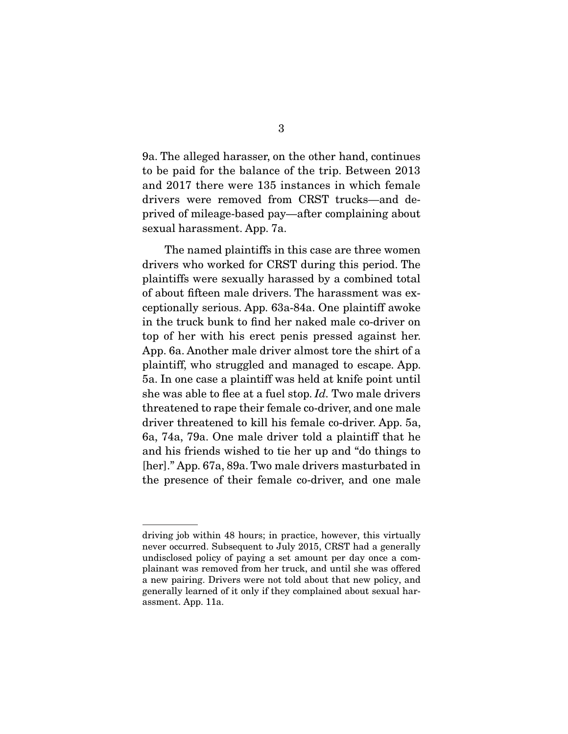9a. The alleged harasser, on the other hand, continues to be paid for the balance of the trip. Between 2013 and 2017 there were 135 instances in which female drivers were removed from CRST trucks—and deprived of mileage-based pay—after complaining about sexual harassment. App. 7a.

 The named plaintiffs in this case are three women drivers who worked for CRST during this period. The plaintiffs were sexually harassed by a combined total of about fifteen male drivers. The harassment was exceptionally serious. App. 63a-84a. One plaintiff awoke in the truck bunk to find her naked male co-driver on top of her with his erect penis pressed against her. App. 6a. Another male driver almost tore the shirt of a plaintiff, who struggled and managed to escape. App. 5a. In one case a plaintiff was held at knife point until she was able to flee at a fuel stop. Id. Two male drivers threatened to rape their female co-driver, and one male driver threatened to kill his female co-driver. App. 5a, 6a, 74a, 79a. One male driver told a plaintiff that he and his friends wished to tie her up and "do things to [her]." App. 67a, 89a. Two male drivers masturbated in the presence of their female co-driver, and one male

driving job within 48 hours; in practice, however, this virtually never occurred. Subsequent to July 2015, CRST had a generally undisclosed policy of paying a set amount per day once a complainant was removed from her truck, and until she was offered a new pairing. Drivers were not told about that new policy, and generally learned of it only if they complained about sexual harassment. App. 11a.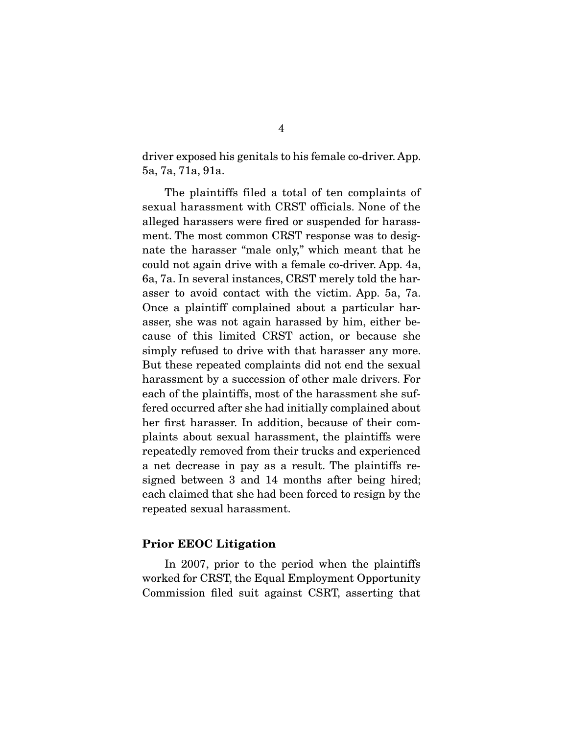driver exposed his genitals to his female co-driver. App. 5a, 7a, 71a, 91a.

 The plaintiffs filed a total of ten complaints of sexual harassment with CRST officials. None of the alleged harassers were fired or suspended for harassment. The most common CRST response was to designate the harasser "male only," which meant that he could not again drive with a female co-driver. App. 4a, 6a, 7a. In several instances, CRST merely told the harasser to avoid contact with the victim. App. 5a, 7a. Once a plaintiff complained about a particular harasser, she was not again harassed by him, either because of this limited CRST action, or because she simply refused to drive with that harasser any more. But these repeated complaints did not end the sexual harassment by a succession of other male drivers. For each of the plaintiffs, most of the harassment she suffered occurred after she had initially complained about her first harasser. In addition, because of their complaints about sexual harassment, the plaintiffs were repeatedly removed from their trucks and experienced a net decrease in pay as a result. The plaintiffs resigned between 3 and 14 months after being hired; each claimed that she had been forced to resign by the repeated sexual harassment.

### **Prior EEOC Litigation**

 In 2007, prior to the period when the plaintiffs worked for CRST, the Equal Employment Opportunity Commission filed suit against CSRT, asserting that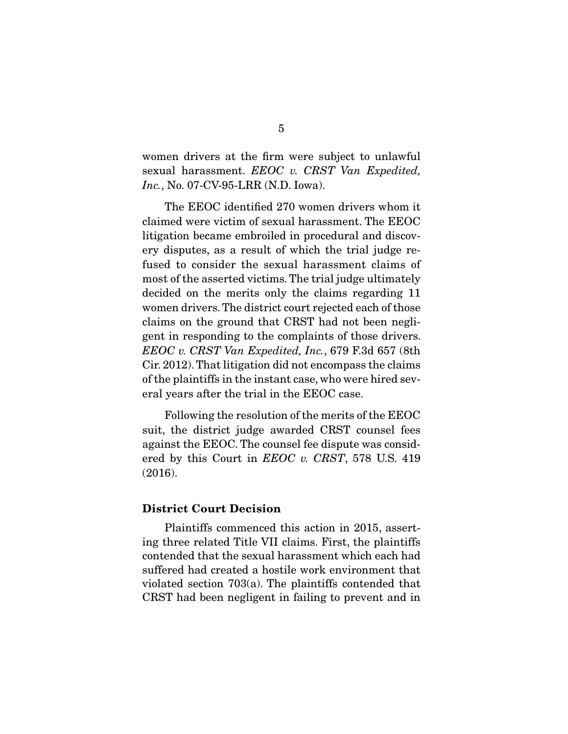women drivers at the firm were subject to unlawful sexual harassment. EEOC v. CRST Van Expedited, Inc., No. 07-CV-95-LRR (N.D. Iowa).

 The EEOC identified 270 women drivers whom it claimed were victim of sexual harassment. The EEOC litigation became embroiled in procedural and discovery disputes, as a result of which the trial judge refused to consider the sexual harassment claims of most of the asserted victims. The trial judge ultimately decided on the merits only the claims regarding 11 women drivers. The district court rejected each of those claims on the ground that CRST had not been negligent in responding to the complaints of those drivers. EEOC v. CRST Van Expedited, Inc., 679 F.3d 657 (8th Cir. 2012). That litigation did not encompass the claims of the plaintiffs in the instant case, who were hired several years after the trial in the EEOC case.

 Following the resolution of the merits of the EEOC suit, the district judge awarded CRST counsel fees against the EEOC. The counsel fee dispute was considered by this Court in *EEOC v. CRST*, 578 U.S. 419 (2016).

#### **District Court Decision**

 Plaintiffs commenced this action in 2015, asserting three related Title VII claims. First, the plaintiffs contended that the sexual harassment which each had suffered had created a hostile work environment that violated section 703(a). The plaintiffs contended that CRST had been negligent in failing to prevent and in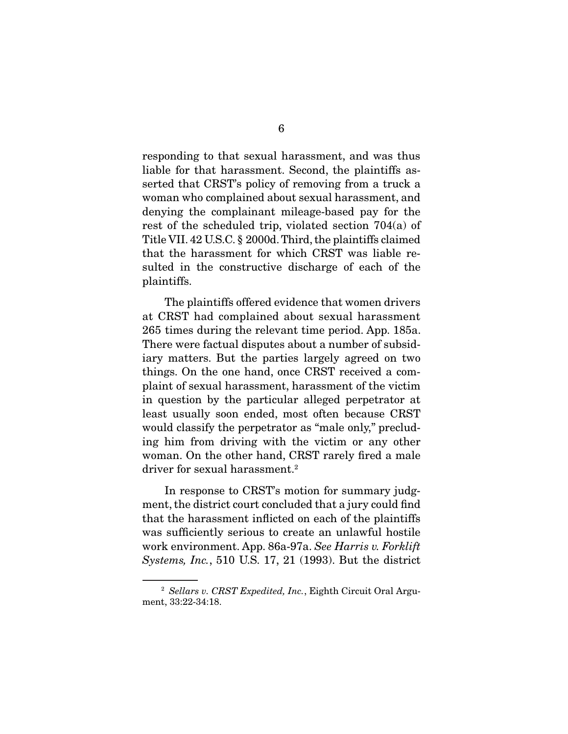responding to that sexual harassment, and was thus liable for that harassment. Second, the plaintiffs asserted that CRST's policy of removing from a truck a woman who complained about sexual harassment, and denying the complainant mileage-based pay for the rest of the scheduled trip, violated section 704(a) of Title VII. 42 U.S.C. § 2000d. Third, the plaintiffs claimed that the harassment for which CRST was liable resulted in the constructive discharge of each of the plaintiffs.

 The plaintiffs offered evidence that women drivers at CRST had complained about sexual harassment 265 times during the relevant time period. App. 185a. There were factual disputes about a number of subsidiary matters. But the parties largely agreed on two things. On the one hand, once CRST received a complaint of sexual harassment, harassment of the victim in question by the particular alleged perpetrator at least usually soon ended, most often because CRST would classify the perpetrator as "male only," precluding him from driving with the victim or any other woman. On the other hand, CRST rarely fired a male driver for sexual harassment.<sup>2</sup>

 In response to CRST's motion for summary judgment, the district court concluded that a jury could find that the harassment inflicted on each of the plaintiffs was sufficiently serious to create an unlawful hostile work environment. App. 86a-97a. See Harris v. Forklift Systems, Inc., 510 U.S. 17, 21 (1993). But the district

<sup>&</sup>lt;sup>2</sup> Sellars v. CRST Expedited, Inc., Eighth Circuit Oral Argument, 33:22-34:18.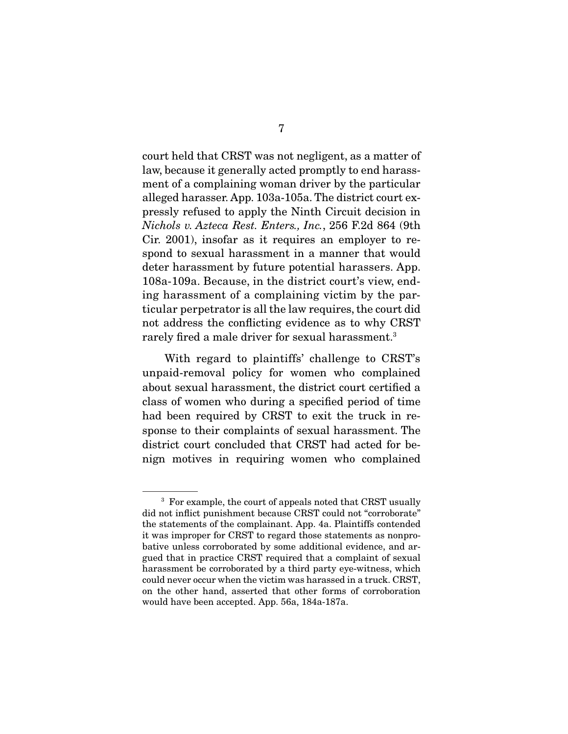court held that CRST was not negligent, as a matter of law, because it generally acted promptly to end harassment of a complaining woman driver by the particular alleged harasser. App. 103a-105a. The district court expressly refused to apply the Ninth Circuit decision in Nichols v. Azteca Rest. Enters., Inc., 256 F.2d 864 (9th Cir. 2001), insofar as it requires an employer to respond to sexual harassment in a manner that would deter harassment by future potential harassers. App. 108a-109a. Because, in the district court's view, ending harassment of a complaining victim by the particular perpetrator is all the law requires, the court did not address the conflicting evidence as to why CRST rarely fired a male driver for sexual harassment.<sup>3</sup>

 With regard to plaintiffs' challenge to CRST's unpaid-removal policy for women who complained about sexual harassment, the district court certified a class of women who during a specified period of time had been required by CRST to exit the truck in response to their complaints of sexual harassment. The district court concluded that CRST had acted for benign motives in requiring women who complained

<sup>&</sup>lt;sup>3</sup> For example, the court of appeals noted that CRST usually did not inflict punishment because CRST could not "corroborate" the statements of the complainant. App. 4a. Plaintiffs contended it was improper for CRST to regard those statements as nonprobative unless corroborated by some additional evidence, and argued that in practice CRST required that a complaint of sexual harassment be corroborated by a third party eye-witness, which could never occur when the victim was harassed in a truck. CRST, on the other hand, asserted that other forms of corroboration would have been accepted. App. 56a, 184a-187a.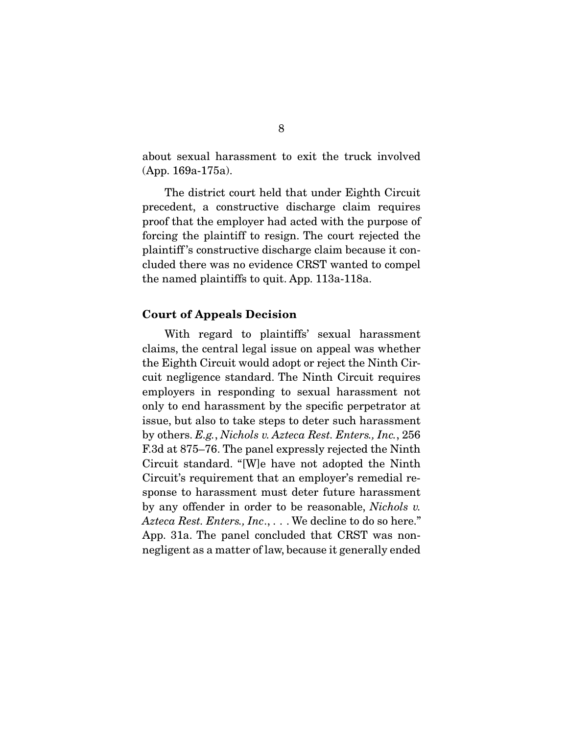about sexual harassment to exit the truck involved (App. 169a-175a).

 The district court held that under Eighth Circuit precedent, a constructive discharge claim requires proof that the employer had acted with the purpose of forcing the plaintiff to resign. The court rejected the plaintiff 's constructive discharge claim because it concluded there was no evidence CRST wanted to compel the named plaintiffs to quit. App. 113a-118a.

#### **Court of Appeals Decision**

 With regard to plaintiffs' sexual harassment claims, the central legal issue on appeal was whether the Eighth Circuit would adopt or reject the Ninth Circuit negligence standard. The Ninth Circuit requires employers in responding to sexual harassment not only to end harassment by the specific perpetrator at issue, but also to take steps to deter such harassment by others. E.g., Nichols v. Azteca Rest. Enters., Inc., 256 F.3d at 875–76. The panel expressly rejected the Ninth Circuit standard. "[W]e have not adopted the Ninth Circuit's requirement that an employer's remedial response to harassment must deter future harassment by any offender in order to be reasonable, Nichols v. Azteca Rest. Enters., Inc., ... We decline to do so here." App. 31a. The panel concluded that CRST was nonnegligent as a matter of law, because it generally ended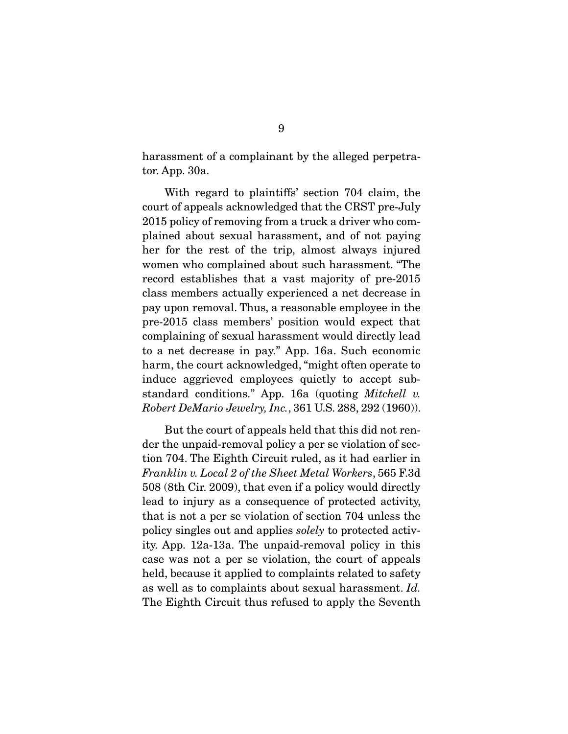harassment of a complainant by the alleged perpetrator. App. 30a.

 With regard to plaintiffs' section 704 claim, the court of appeals acknowledged that the CRST pre-July 2015 policy of removing from a truck a driver who complained about sexual harassment, and of not paying her for the rest of the trip, almost always injured women who complained about such harassment. "The record establishes that a vast majority of pre-2015 class members actually experienced a net decrease in pay upon removal. Thus, a reasonable employee in the pre-2015 class members' position would expect that complaining of sexual harassment would directly lead to a net decrease in pay." App. 16a. Such economic harm, the court acknowledged, "might often operate to induce aggrieved employees quietly to accept substandard conditions." App. 16a (quoting Mitchell v. Robert DeMario Jewelry, Inc., 361 U.S. 288, 292 (1960)).

 But the court of appeals held that this did not render the unpaid-removal policy a per se violation of section 704. The Eighth Circuit ruled, as it had earlier in Franklin v. Local 2 of the Sheet Metal Workers, 565 F.3d 508 (8th Cir. 2009), that even if a policy would directly lead to injury as a consequence of protected activity, that is not a per se violation of section 704 unless the policy singles out and applies solely to protected activity. App. 12a-13a. The unpaid-removal policy in this case was not a per se violation, the court of appeals held, because it applied to complaints related to safety as well as to complaints about sexual harassment. Id. The Eighth Circuit thus refused to apply the Seventh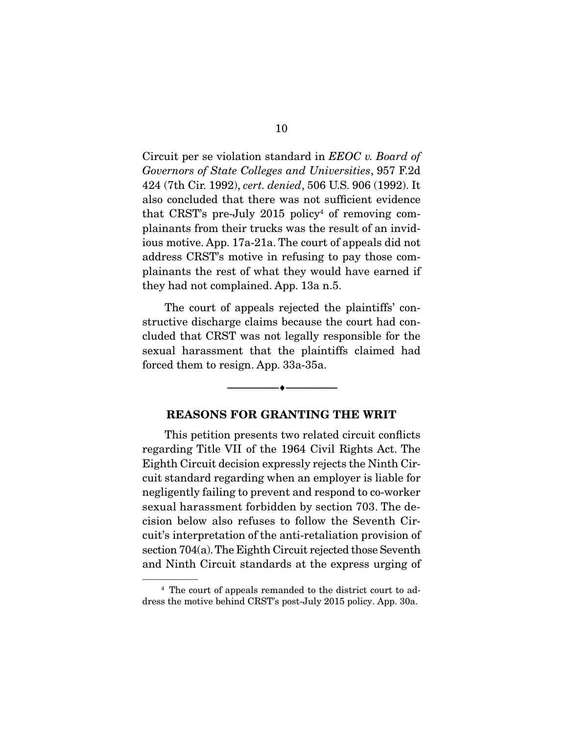Circuit per se violation standard in EEOC v. Board of Governors of State Colleges and Universities, 957 F.2d 424 (7th Cir. 1992), cert. denied, 506 U.S. 906 (1992). It also concluded that there was not sufficient evidence that CRST's pre-July  $2015$  policy<sup>4</sup> of removing complainants from their trucks was the result of an invidious motive. App. 17a-21a. The court of appeals did not address CRST's motive in refusing to pay those complainants the rest of what they would have earned if they had not complained. App. 13a n.5.

 The court of appeals rejected the plaintiffs' constructive discharge claims because the court had concluded that CRST was not legally responsible for the sexual harassment that the plaintiffs claimed had forced them to resign. App. 33a-35a.

### **REASONS FOR GRANTING THE WRIT**

--------------------------------- ♦ ---------------------------------

This petition presents two related circuit conflicts regarding Title VII of the 1964 Civil Rights Act. The Eighth Circuit decision expressly rejects the Ninth Circuit standard regarding when an employer is liable for negligently failing to prevent and respond to co-worker sexual harassment forbidden by section 703. The decision below also refuses to follow the Seventh Circuit's interpretation of the anti-retaliation provision of section 704(a). The Eighth Circuit rejected those Seventh and Ninth Circuit standards at the express urging of

<sup>4</sup> The court of appeals remanded to the district court to address the motive behind CRST's post-July 2015 policy. App. 30a.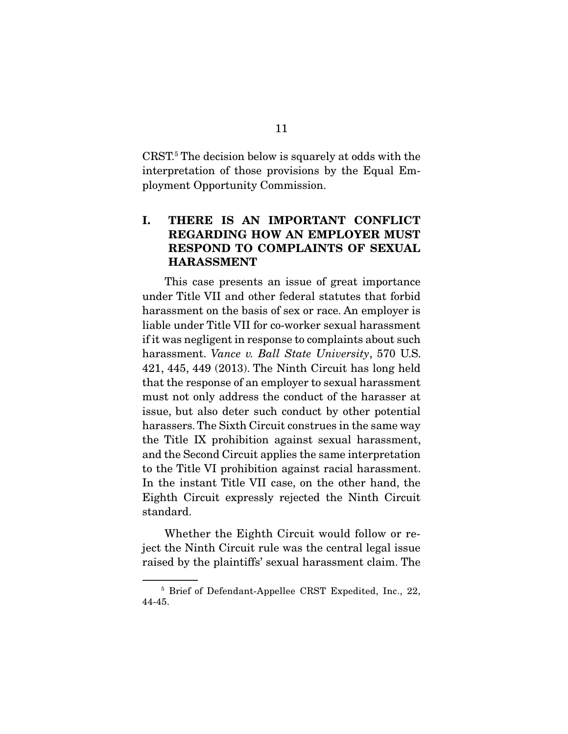CRST.5 The decision below is squarely at odds with the interpretation of those provisions by the Equal Employment Opportunity Commission.

### **I. THERE IS AN IMPORTANT CONFLICT REGARDING HOW AN EMPLOYER MUST RESPOND TO COMPLAINTS OF SEXUAL HARASSMENT**

This case presents an issue of great importance under Title VII and other federal statutes that forbid harassment on the basis of sex or race. An employer is liable under Title VII for co-worker sexual harassment if it was negligent in response to complaints about such harassment. Vance v. Ball State University, 570 U.S. 421, 445, 449 (2013). The Ninth Circuit has long held that the response of an employer to sexual harassment must not only address the conduct of the harasser at issue, but also deter such conduct by other potential harassers. The Sixth Circuit construes in the same way the Title IX prohibition against sexual harassment, and the Second Circuit applies the same interpretation to the Title VI prohibition against racial harassment. In the instant Title VII case, on the other hand, the Eighth Circuit expressly rejected the Ninth Circuit standard.

 Whether the Eighth Circuit would follow or reject the Ninth Circuit rule was the central legal issue raised by the plaintiffs' sexual harassment claim. The

<sup>5</sup> Brief of Defendant-Appellee CRST Expedited, Inc., 22, 44-45.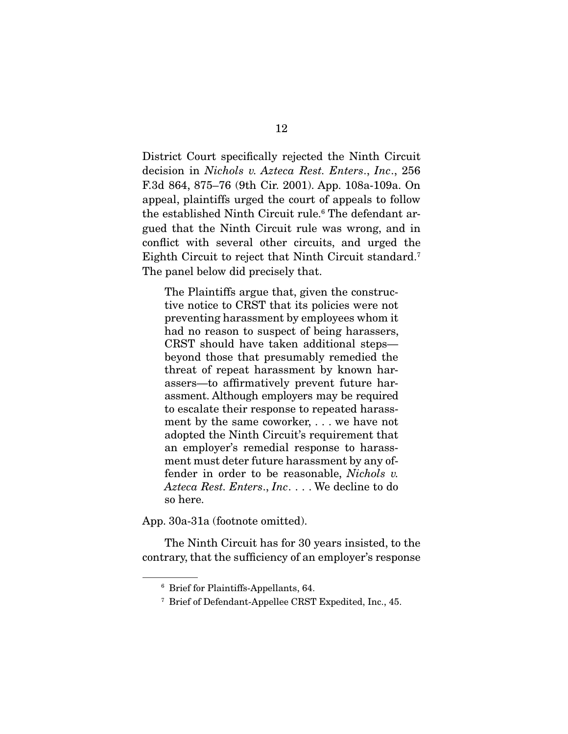District Court specifically rejected the Ninth Circuit decision in Nichols v. Azteca Rest. Enters., Inc., 256 F.3d 864, 875–76 (9th Cir. 2001). App. 108a-109a. On appeal, plaintiffs urged the court of appeals to follow the established Ninth Circuit rule.6 The defendant argued that the Ninth Circuit rule was wrong, and in conflict with several other circuits, and urged the Eighth Circuit to reject that Ninth Circuit standard.7 The panel below did precisely that.

The Plaintiffs argue that, given the constructive notice to CRST that its policies were not preventing harassment by employees whom it had no reason to suspect of being harassers, CRST should have taken additional steps beyond those that presumably remedied the threat of repeat harassment by known harassers—to affirmatively prevent future harassment. Although employers may be required to escalate their response to repeated harassment by the same coworker, . . . we have not adopted the Ninth Circuit's requirement that an employer's remedial response to harassment must deter future harassment by any offender in order to be reasonable, Nichols v. Azteca Rest. Enters., Inc. . . . We decline to do so here.

App. 30a-31a (footnote omitted).

 The Ninth Circuit has for 30 years insisted, to the contrary, that the sufficiency of an employer's response

<sup>6</sup> Brief for Plaintiffs-Appellants, 64.

<sup>7</sup> Brief of Defendant-Appellee CRST Expedited, Inc., 45.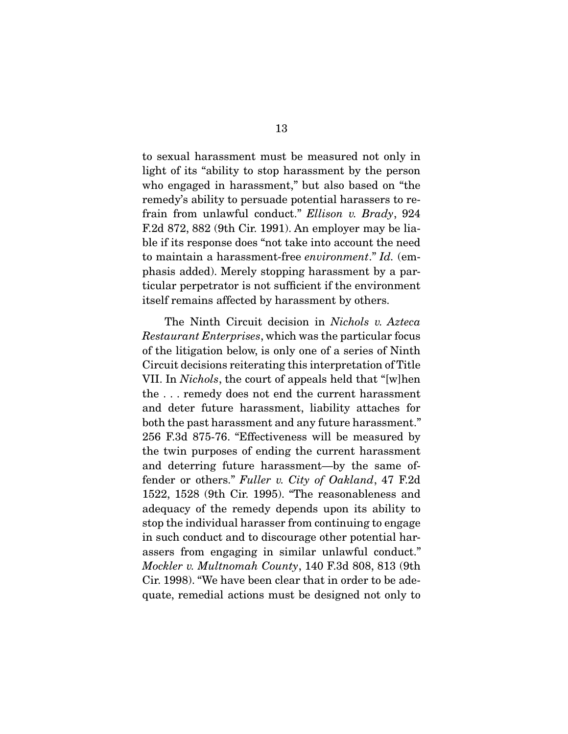to sexual harassment must be measured not only in light of its "ability to stop harassment by the person who engaged in harassment," but also based on "the remedy's ability to persuade potential harassers to refrain from unlawful conduct." Ellison v. Brady, 924 F.2d 872, 882 (9th Cir. 1991). An employer may be liable if its response does "not take into account the need to maintain a harassment-free environment." Id. (emphasis added). Merely stopping harassment by a particular perpetrator is not sufficient if the environment itself remains affected by harassment by others.

 The Ninth Circuit decision in Nichols v. Azteca Restaurant Enterprises, which was the particular focus of the litigation below, is only one of a series of Ninth Circuit decisions reiterating this interpretation of Title VII. In Nichols, the court of appeals held that "[w]hen the . . . remedy does not end the current harassment and deter future harassment, liability attaches for both the past harassment and any future harassment." 256 F.3d 875-76. "Effectiveness will be measured by the twin purposes of ending the current harassment and deterring future harassment—by the same offender or others." Fuller v. City of Oakland, 47 F.2d 1522, 1528 (9th Cir. 1995). "The reasonableness and adequacy of the remedy depends upon its ability to stop the individual harasser from continuing to engage in such conduct and to discourage other potential harassers from engaging in similar unlawful conduct." Mockler v. Multnomah County, 140 F.3d 808, 813 (9th Cir. 1998). "We have been clear that in order to be adequate, remedial actions must be designed not only to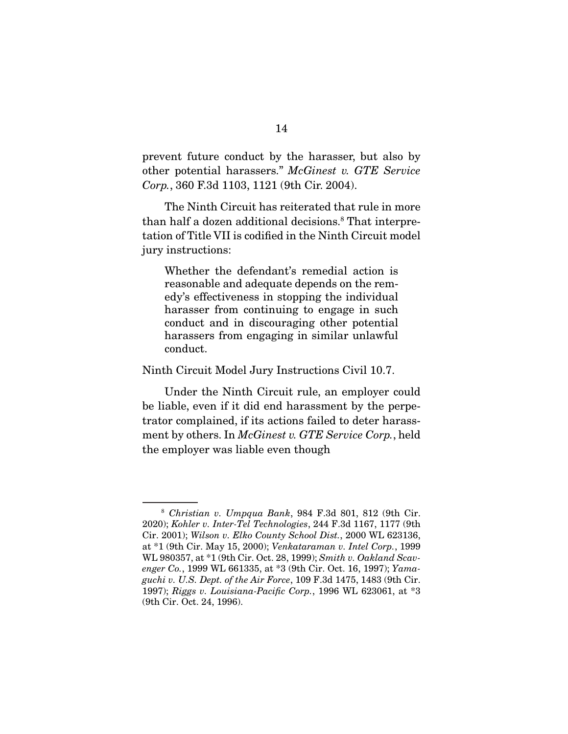prevent future conduct by the harasser, but also by other potential harassers." McGinest v. GTE Service Corp., 360 F.3d 1103, 1121 (9th Cir. 2004).

 The Ninth Circuit has reiterated that rule in more than half a dozen additional decisions.<sup>8</sup> That interpretation of Title VII is codified in the Ninth Circuit model jury instructions:

Whether the defendant's remedial action is reasonable and adequate depends on the remedy's effectiveness in stopping the individual harasser from continuing to engage in such conduct and in discouraging other potential harassers from engaging in similar unlawful conduct.

Ninth Circuit Model Jury Instructions Civil 10.7.

 Under the Ninth Circuit rule, an employer could be liable, even if it did end harassment by the perpetrator complained, if its actions failed to deter harassment by others. In *McGinest v. GTE Service Corp.*, held the employer was liable even though

<sup>8</sup> Christian v. Umpqua Bank, 984 F.3d 801, 812 (9th Cir. 2020); Kohler v. Inter-Tel Technologies, 244 F.3d 1167, 1177 (9th Cir. 2001); Wilson v. Elko County School Dist., 2000 WL 623136, at \*1 (9th Cir. May 15, 2000); Venkataraman v. Intel Corp., 1999 WL 980357, at \*1 (9th Cir. Oct. 28, 1999); Smith v. Oakland Scavenger Co., 1999 WL 661335, at \*3 (9th Cir. Oct. 16, 1997); Yamaguchi v. U.S. Dept. of the Air Force, 109 F.3d 1475, 1483 (9th Cir. 1997); Riggs v. Louisiana-Pacific Corp., 1996 WL 623061, at \*3 (9th Cir. Oct. 24, 1996).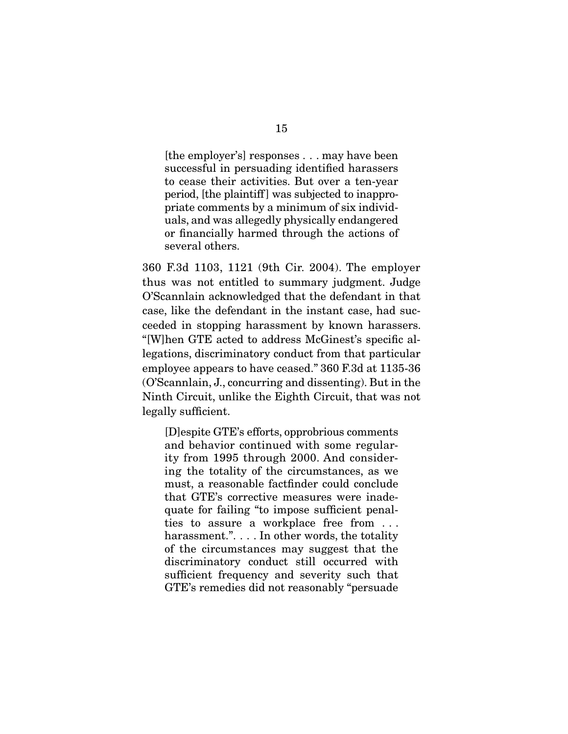[the employer's] responses . . . may have been successful in persuading identified harassers to cease their activities. But over a ten-year period, [the plaintiff ] was subjected to inappropriate comments by a minimum of six individuals, and was allegedly physically endangered or financially harmed through the actions of several others.

360 F.3d 1103, 1121 (9th Cir. 2004). The employer thus was not entitled to summary judgment. Judge O'Scannlain acknowledged that the defendant in that case, like the defendant in the instant case, had succeeded in stopping harassment by known harassers. "[W]hen GTE acted to address McGinest's specific allegations, discriminatory conduct from that particular employee appears to have ceased." 360 F.3d at 1135-36 (O'Scannlain, J., concurring and dissenting). But in the Ninth Circuit, unlike the Eighth Circuit, that was not legally sufficient.

[D]espite GTE's efforts, opprobrious comments and behavior continued with some regularity from 1995 through 2000. And considering the totality of the circumstances, as we must, a reasonable factfinder could conclude that GTE's corrective measures were inadequate for failing "to impose sufficient penalties to assure a workplace free from . . . harassment.". . . . In other words, the totality of the circumstances may suggest that the discriminatory conduct still occurred with sufficient frequency and severity such that GTE's remedies did not reasonably "persuade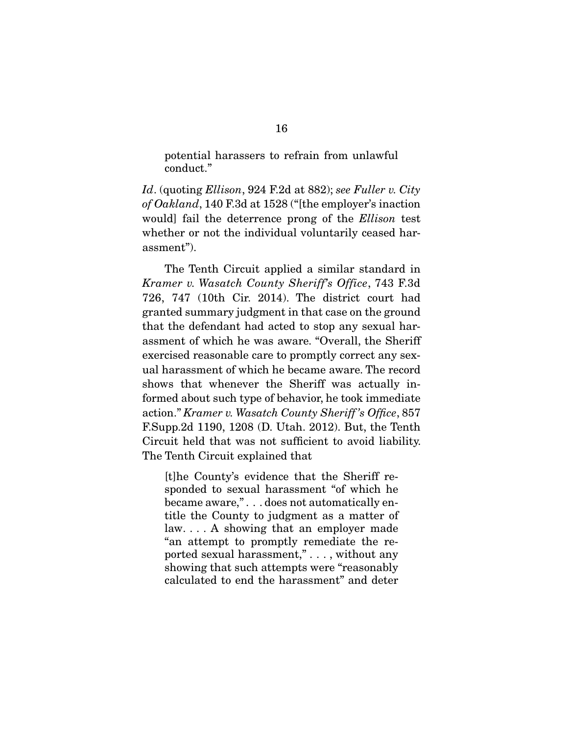potential harassers to refrain from unlawful conduct."

Id. (quoting Ellison, 924 F.2d at 882); see Fuller v. City of Oakland, 140 F.3d at 1528 ("[the employer's inaction would] fail the deterrence prong of the Ellison test whether or not the individual voluntarily ceased harassment").

 The Tenth Circuit applied a similar standard in Kramer v. Wasatch County Sheriff's Office, 743 F.3d 726, 747 (10th Cir. 2014). The district court had granted summary judgment in that case on the ground that the defendant had acted to stop any sexual harassment of which he was aware. "Overall, the Sheriff exercised reasonable care to promptly correct any sexual harassment of which he became aware. The record shows that whenever the Sheriff was actually informed about such type of behavior, he took immediate action." Kramer v. Wasatch County Sheriff 's Office, 857 F.Supp.2d 1190, 1208 (D. Utah. 2012). But, the Tenth Circuit held that was not sufficient to avoid liability. The Tenth Circuit explained that

[t]he County's evidence that the Sheriff responded to sexual harassment "of which he became aware," . . . does not automatically entitle the County to judgment as a matter of law. . . . A showing that an employer made "an attempt to promptly remediate the reported sexual harassment," . . . , without any showing that such attempts were "reasonably calculated to end the harassment" and deter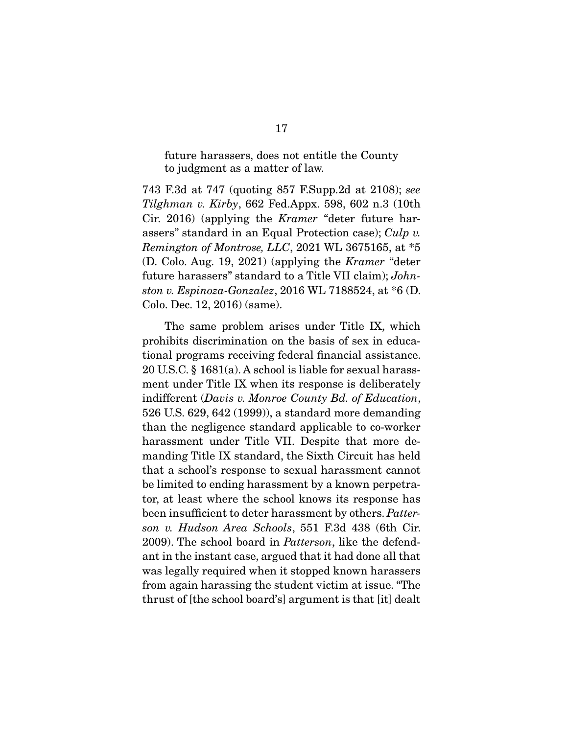future harassers, does not entitle the County to judgment as a matter of law.

743 F.3d at 747 (quoting 857 F.Supp.2d at 2108); see Tilghman v. Kirby, 662 Fed.Appx. 598, 602 n.3 (10th Cir. 2016) (applying the Kramer "deter future harassers" standard in an Equal Protection case); Culp v. Remington of Montrose, LLC, 2021 WL 3675165, at \*5 (D. Colo. Aug. 19, 2021) (applying the Kramer "deter future harassers" standard to a Title VII claim); Johnston v. Espinoza-Gonzalez, 2016 WL 7188524, at \*6 (D. Colo. Dec. 12, 2016) (same).

 The same problem arises under Title IX, which prohibits discrimination on the basis of sex in educational programs receiving federal financial assistance. 20 U.S.C. § 1681(a). A school is liable for sexual harassment under Title IX when its response is deliberately indifferent (Davis v. Monroe County Bd. of Education, 526 U.S. 629, 642 (1999)), a standard more demanding than the negligence standard applicable to co-worker harassment under Title VII. Despite that more demanding Title IX standard, the Sixth Circuit has held that a school's response to sexual harassment cannot be limited to ending harassment by a known perpetrator, at least where the school knows its response has been insufficient to deter harassment by others. Patterson v. Hudson Area Schools, 551 F.3d 438 (6th Cir. 2009). The school board in Patterson, like the defendant in the instant case, argued that it had done all that was legally required when it stopped known harassers from again harassing the student victim at issue. "The thrust of [the school board's] argument is that [it] dealt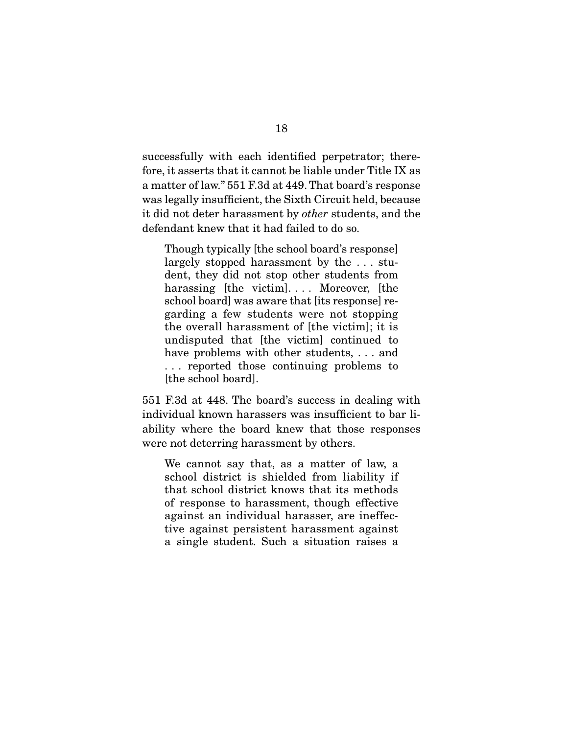successfully with each identified perpetrator; therefore, it asserts that it cannot be liable under Title IX as a matter of law." 551 F.3d at 449. That board's response was legally insufficient, the Sixth Circuit held, because it did not deter harassment by other students, and the defendant knew that it had failed to do so.

Though typically [the school board's response] largely stopped harassment by the . . . student, they did not stop other students from harassing [the victim].... Moreover, [the school board] was aware that [its response] regarding a few students were not stopping the overall harassment of [the victim]; it is undisputed that [the victim] continued to have problems with other students, ... and . . . reported those continuing problems to [the school board].

551 F.3d at 448. The board's success in dealing with individual known harassers was insufficient to bar liability where the board knew that those responses were not deterring harassment by others.

We cannot say that, as a matter of law, a school district is shielded from liability if that school district knows that its methods of response to harassment, though effective against an individual harasser, are ineffective against persistent harassment against a single student. Such a situation raises a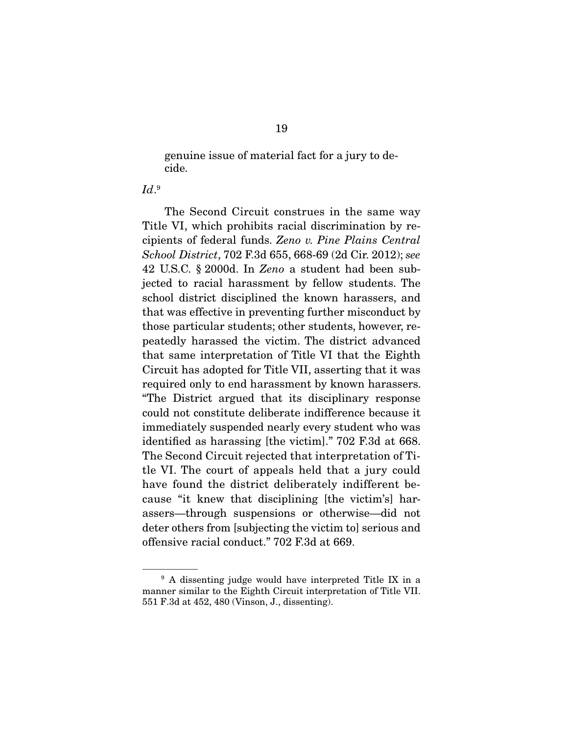genuine issue of material fact for a jury to decide.

### $Id.9$

 The Second Circuit construes in the same way Title VI, which prohibits racial discrimination by recipients of federal funds. Zeno v. Pine Plains Central School District, 702 F.3d 655, 668-69 (2d Cir. 2012); see 42 U.S.C. § 2000d. In Zeno a student had been subjected to racial harassment by fellow students. The school district disciplined the known harassers, and that was effective in preventing further misconduct by those particular students; other students, however, repeatedly harassed the victim. The district advanced that same interpretation of Title VI that the Eighth Circuit has adopted for Title VII, asserting that it was required only to end harassment by known harassers. "The District argued that its disciplinary response could not constitute deliberate indifference because it immediately suspended nearly every student who was identified as harassing [the victim]." 702 F.3d at 668. The Second Circuit rejected that interpretation of Title VI. The court of appeals held that a jury could have found the district deliberately indifferent because "it knew that disciplining [the victim's] harassers—through suspensions or otherwise—did not deter others from [subjecting the victim to] serious and offensive racial conduct." 702 F.3d at 669.

<sup>&</sup>lt;sup>9</sup> A dissenting judge would have interpreted Title IX in a manner similar to the Eighth Circuit interpretation of Title VII. 551 F.3d at 452, 480 (Vinson, J., dissenting).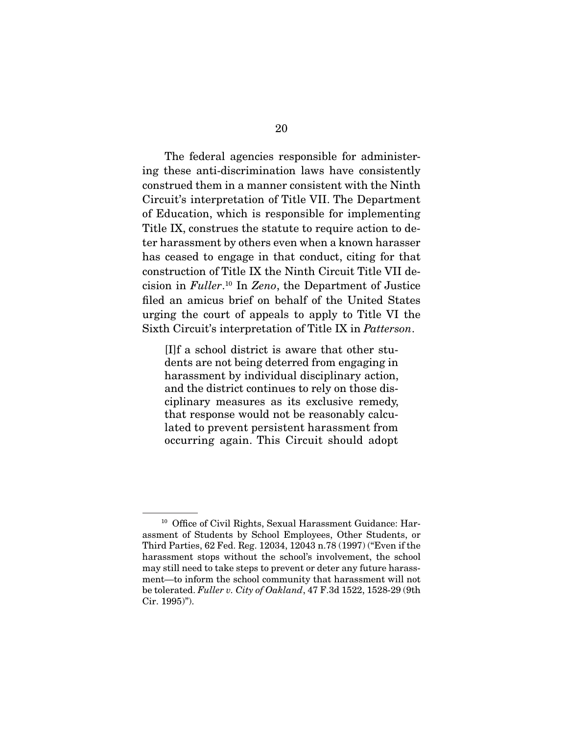The federal agencies responsible for administering these anti-discrimination laws have consistently construed them in a manner consistent with the Ninth Circuit's interpretation of Title VII. The Department of Education, which is responsible for implementing Title IX, construes the statute to require action to deter harassment by others even when a known harasser has ceased to engage in that conduct, citing for that construction of Title IX the Ninth Circuit Title VII decision in Fuller. 10 In Zeno, the Department of Justice filed an amicus brief on behalf of the United States urging the court of appeals to apply to Title VI the Sixth Circuit's interpretation of Title IX in Patterson.

[I]f a school district is aware that other students are not being deterred from engaging in harassment by individual disciplinary action, and the district continues to rely on those disciplinary measures as its exclusive remedy, that response would not be reasonably calculated to prevent persistent harassment from occurring again. This Circuit should adopt

<sup>&</sup>lt;sup>10</sup> Office of Civil Rights, Sexual Harassment Guidance: Harassment of Students by School Employees, Other Students, or Third Parties, 62 Fed. Reg. 12034, 12043 n.78 (1997) ("Even if the harassment stops without the school's involvement, the school may still need to take steps to prevent or deter any future harassment—to inform the school community that harassment will not be tolerated. Fuller v. City of Oakland, 47 F.3d 1522, 1528-29 (9th Cir. 1995)").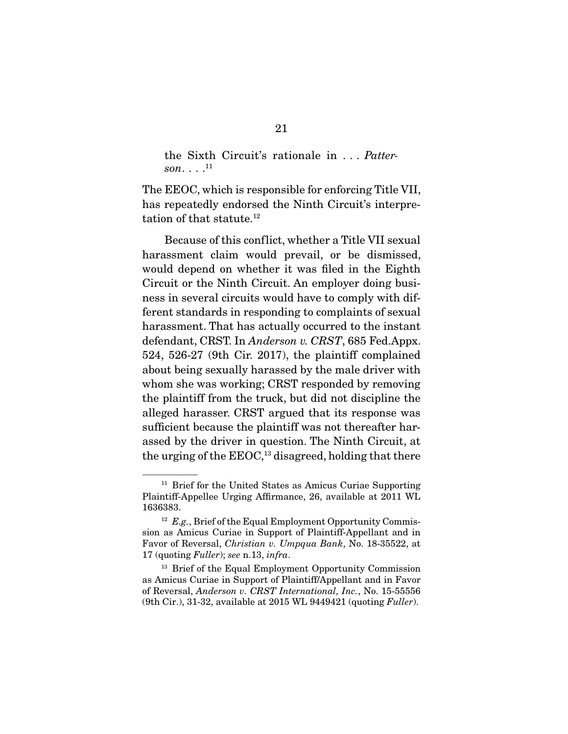the Sixth Circuit's rationale in . . . Patterson... $^{11}$ 

The EEOC, which is responsible for enforcing Title VII, has repeatedly endorsed the Ninth Circuit's interpretation of that statute.<sup>12</sup>

 Because of this conflict, whether a Title VII sexual harassment claim would prevail, or be dismissed, would depend on whether it was filed in the Eighth Circuit or the Ninth Circuit. An employer doing business in several circuits would have to comply with different standards in responding to complaints of sexual harassment. That has actually occurred to the instant defendant, CRST. In Anderson v. CRST, 685 Fed.Appx. 524, 526-27 (9th Cir. 2017), the plaintiff complained about being sexually harassed by the male driver with whom she was working; CRST responded by removing the plaintiff from the truck, but did not discipline the alleged harasser. CRST argued that its response was sufficient because the plaintiff was not thereafter harassed by the driver in question. The Ninth Circuit, at the urging of the  $EEOC<sub>13</sub>$  disagreed, holding that there

<sup>11</sup> Brief for the United States as Amicus Curiae Supporting Plaintiff-Appellee Urging Affirmance, 26, available at 2011 WL 1636383.

 $12$  E.g., Brief of the Equal Employment Opportunity Commission as Amicus Curiae in Support of Plaintiff-Appellant and in Favor of Reversal, Christian v. Umpqua Bank, No. 18-35522, at 17 (quoting Fuller); see n.13, infra.

<sup>&</sup>lt;sup>13</sup> Brief of the Equal Employment Opportunity Commission as Amicus Curiae in Support of Plaintiff/Appellant and in Favor of Reversal, Anderson v. CRST International, Inc., No. 15-55556  $(9th Cir.)$ , 31-32, available at 2015 WL 9449421 (quoting Fuller).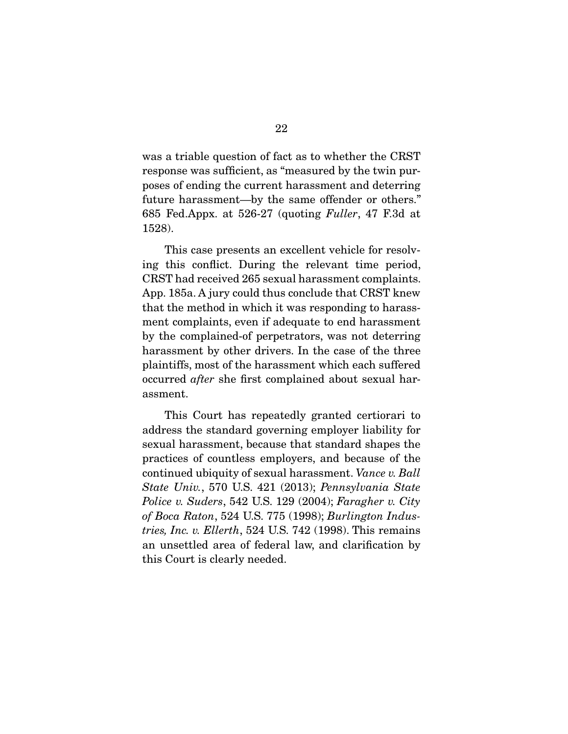was a triable question of fact as to whether the CRST response was sufficient, as "measured by the twin purposes of ending the current harassment and deterring future harassment—by the same offender or others." 685 Fed.Appx. at 526-27 (quoting Fuller, 47 F.3d at 1528).

This case presents an excellent vehicle for resolving this conflict. During the relevant time period, CRST had received 265 sexual harassment complaints. App. 185a. A jury could thus conclude that CRST knew that the method in which it was responding to harassment complaints, even if adequate to end harassment by the complained-of perpetrators, was not deterring harassment by other drivers. In the case of the three plaintiffs, most of the harassment which each suffered occurred after she first complained about sexual harassment.

 This Court has repeatedly granted certiorari to address the standard governing employer liability for sexual harassment, because that standard shapes the practices of countless employers, and because of the continued ubiquity of sexual harassment. Vance v. Ball State Univ., 570 U.S. 421 (2013); Pennsylvania State Police v. Suders, 542 U.S. 129 (2004); Faragher v. City of Boca Raton, 524 U.S. 775 (1998); Burlington Industries, Inc. v. Ellerth, 524 U.S. 742 (1998). This remains an unsettled area of federal law, and clarification by this Court is clearly needed.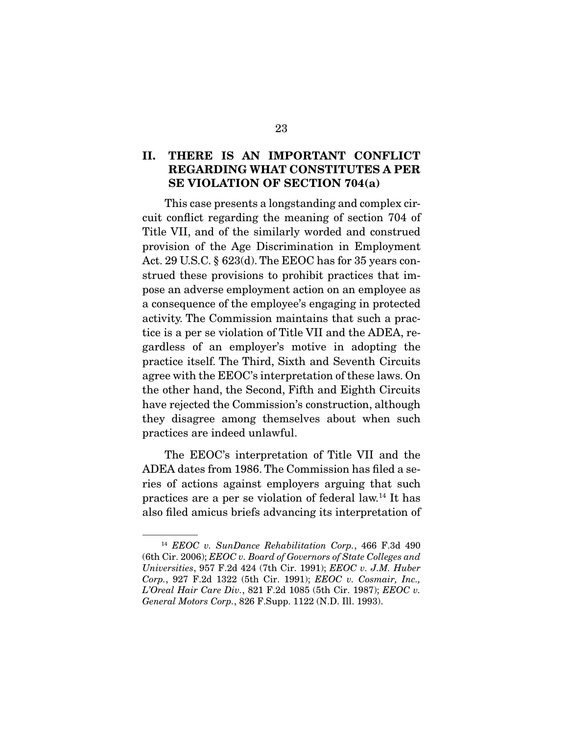### **II. THERE IS AN IMPORTANT CONFLICT REGARDING WHAT CONSTITUTES A PER SE VIOLATION OF SECTION 704(a)**

This case presents a longstanding and complex circuit conflict regarding the meaning of section 704 of Title VII, and of the similarly worded and construed provision of the Age Discrimination in Employment Act. 29 U.S.C. § 623(d). The EEOC has for 35 years construed these provisions to prohibit practices that impose an adverse employment action on an employee as a consequence of the employee's engaging in protected activity. The Commission maintains that such a practice is a per se violation of Title VII and the ADEA, regardless of an employer's motive in adopting the practice itself. The Third, Sixth and Seventh Circuits agree with the EEOC's interpretation of these laws. On the other hand, the Second, Fifth and Eighth Circuits have rejected the Commission's construction, although they disagree among themselves about when such practices are indeed unlawful.

 The EEOC's interpretation of Title VII and the ADEA dates from 1986. The Commission has filed a series of actions against employers arguing that such practices are a per se violation of federal law.14 It has also filed amicus briefs advancing its interpretation of

<sup>&</sup>lt;sup>14</sup> EEOC v. SunDance Rehabilitation Corp., 466 F.3d 490 (6th Cir. 2006); EEOC v. Board of Governors of State Colleges and Universities, 957 F.2d 424 (7th Cir. 1991); EEOC v. J.M. Huber Corp., 927 F.2d 1322 (5th Cir. 1991); EEOC v. Cosmair, Inc., L'Oreal Hair Care Div., 821 F.2d 1085 (5th Cir. 1987); EEOC v. General Motors Corp., 826 F.Supp. 1122 (N.D. Ill. 1993).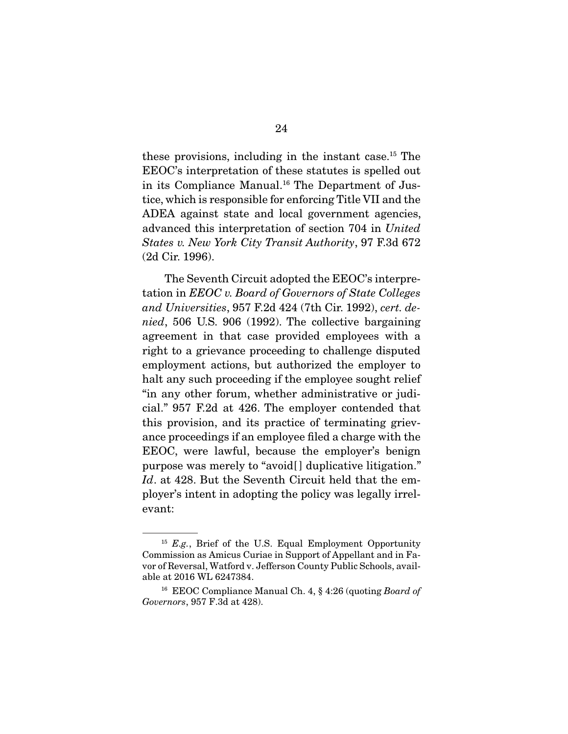these provisions, including in the instant case.15 The EEOC's interpretation of these statutes is spelled out in its Compliance Manual.<sup>16</sup> The Department of Justice, which is responsible for enforcing Title VII and the ADEA against state and local government agencies, advanced this interpretation of section 704 in United States v. New York City Transit Authority, 97 F.3d 672 (2d Cir. 1996).

 The Seventh Circuit adopted the EEOC's interpretation in EEOC v. Board of Governors of State Colleges and Universities, 957 F.2d 424 (7th Cir. 1992), cert. denied, 506 U.S. 906 (1992). The collective bargaining agreement in that case provided employees with a right to a grievance proceeding to challenge disputed employment actions, but authorized the employer to halt any such proceeding if the employee sought relief "in any other forum, whether administrative or judicial." 957 F.2d at 426. The employer contended that this provision, and its practice of terminating grievance proceedings if an employee filed a charge with the EEOC, were lawful, because the employer's benign purpose was merely to "avoid[ ] duplicative litigation." Id. at 428. But the Seventh Circuit held that the employer's intent in adopting the policy was legally irrelevant:

 $15$  E.g., Brief of the U.S. Equal Employment Opportunity Commission as Amicus Curiae in Support of Appellant and in Favor of Reversal, Watford v. Jefferson County Public Schools, available at 2016 WL 6247384.

<sup>&</sup>lt;sup>16</sup> EEOC Compliance Manual Ch. 4, § 4:26 (quoting Board of Governors, 957 F.3d at 428).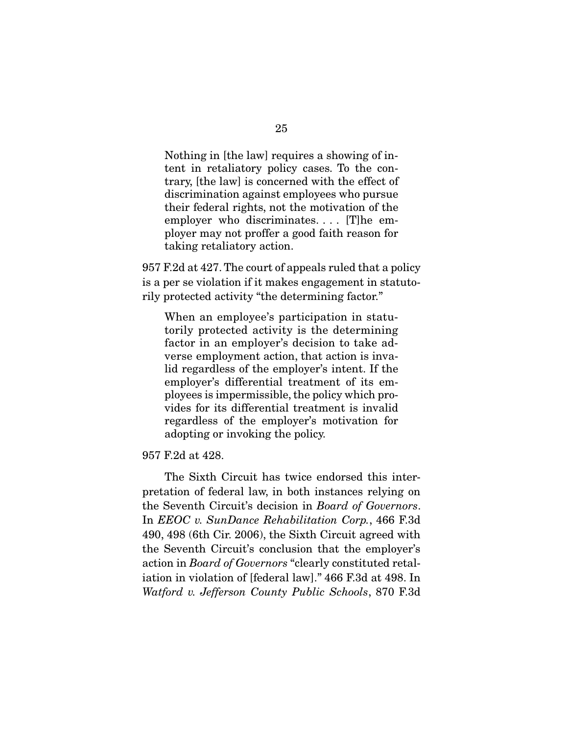Nothing in [the law] requires a showing of intent in retaliatory policy cases. To the contrary, [the law] is concerned with the effect of discrimination against employees who pursue their federal rights, not the motivation of the employer who discriminates.... [T]he employer may not proffer a good faith reason for taking retaliatory action.

957 F.2d at 427. The court of appeals ruled that a policy is a per se violation if it makes engagement in statutorily protected activity "the determining factor."

When an employee's participation in statutorily protected activity is the determining factor in an employer's decision to take adverse employment action, that action is invalid regardless of the employer's intent. If the employer's differential treatment of its employees is impermissible, the policy which provides for its differential treatment is invalid regardless of the employer's motivation for adopting or invoking the policy.

957 F.2d at 428.

 The Sixth Circuit has twice endorsed this interpretation of federal law, in both instances relying on the Seventh Circuit's decision in Board of Governors. In EEOC v. SunDance Rehabilitation Corp., 466 F.3d 490, 498 (6th Cir. 2006), the Sixth Circuit agreed with the Seventh Circuit's conclusion that the employer's action in Board of Governors "clearly constituted retaliation in violation of [federal law]." 466 F.3d at 498. In Watford v. Jefferson County Public Schools, 870 F.3d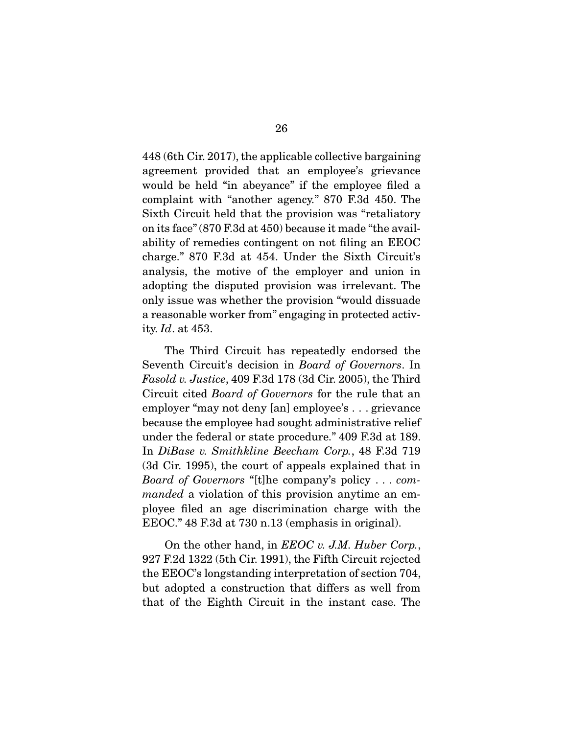448 (6th Cir. 2017), the applicable collective bargaining agreement provided that an employee's grievance would be held "in abeyance" if the employee filed a complaint with "another agency." 870 F.3d 450. The Sixth Circuit held that the provision was "retaliatory on its face" (870 F.3d at 450) because it made "the availability of remedies contingent on not filing an EEOC charge." 870 F.3d at 454. Under the Sixth Circuit's analysis, the motive of the employer and union in adopting the disputed provision was irrelevant. The only issue was whether the provision "would dissuade a reasonable worker from" engaging in protected activity. Id. at 453.

 The Third Circuit has repeatedly endorsed the Seventh Circuit's decision in Board of Governors. In *Fasold v. Justice*, 409 F.3d 178 (3d Cir. 2005), the Third Circuit cited Board of Governors for the rule that an employer "may not deny [an] employee's . . . grievance because the employee had sought administrative relief under the federal or state procedure." 409 F.3d at 189. In DiBase v. Smithkline Beecham Corp., 48 F.3d 719 (3d Cir. 1995), the court of appeals explained that in Board of Governors "[t]he company's policy . . . commanded a violation of this provision anytime an employee filed an age discrimination charge with the EEOC." 48 F.3d at 730 n.13 (emphasis in original).

On the other hand, in *EEOC v. J.M. Huber Corp.*, 927 F.2d 1322 (5th Cir. 1991), the Fifth Circuit rejected the EEOC's longstanding interpretation of section 704, but adopted a construction that differs as well from that of the Eighth Circuit in the instant case. The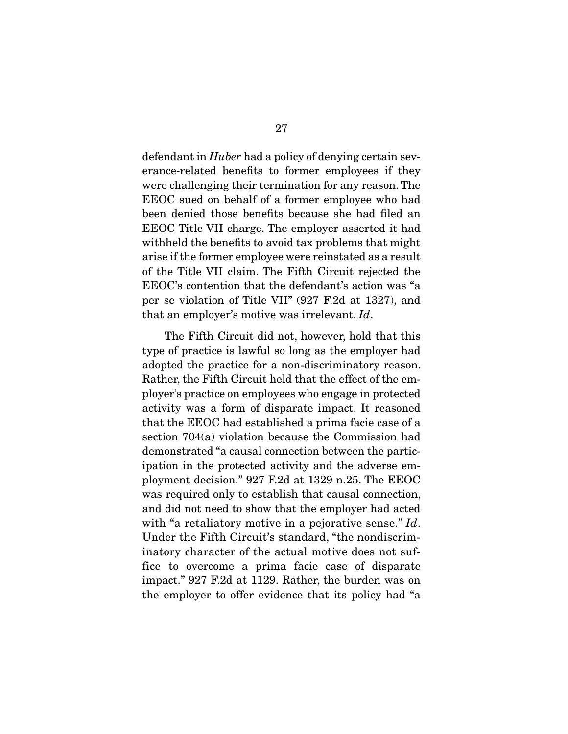defendant in *Huber* had a policy of denying certain severance-related benefits to former employees if they were challenging their termination for any reason. The EEOC sued on behalf of a former employee who had been denied those benefits because she had filed an EEOC Title VII charge. The employer asserted it had withheld the benefits to avoid tax problems that might arise if the former employee were reinstated as a result of the Title VII claim. The Fifth Circuit rejected the EEOC's contention that the defendant's action was "a per se violation of Title VII" (927 F.2d at 1327), and that an employer's motive was irrelevant. Id.

 The Fifth Circuit did not, however, hold that this type of practice is lawful so long as the employer had adopted the practice for a non-discriminatory reason. Rather, the Fifth Circuit held that the effect of the employer's practice on employees who engage in protected activity was a form of disparate impact. It reasoned that the EEOC had established a prima facie case of a section 704(a) violation because the Commission had demonstrated "a causal connection between the participation in the protected activity and the adverse employment decision." 927 F.2d at 1329 n.25. The EEOC was required only to establish that causal connection, and did not need to show that the employer had acted with "a retaliatory motive in a pejorative sense." Id. Under the Fifth Circuit's standard, "the nondiscriminatory character of the actual motive does not suffice to overcome a prima facie case of disparate impact." 927 F.2d at 1129. Rather, the burden was on the employer to offer evidence that its policy had "a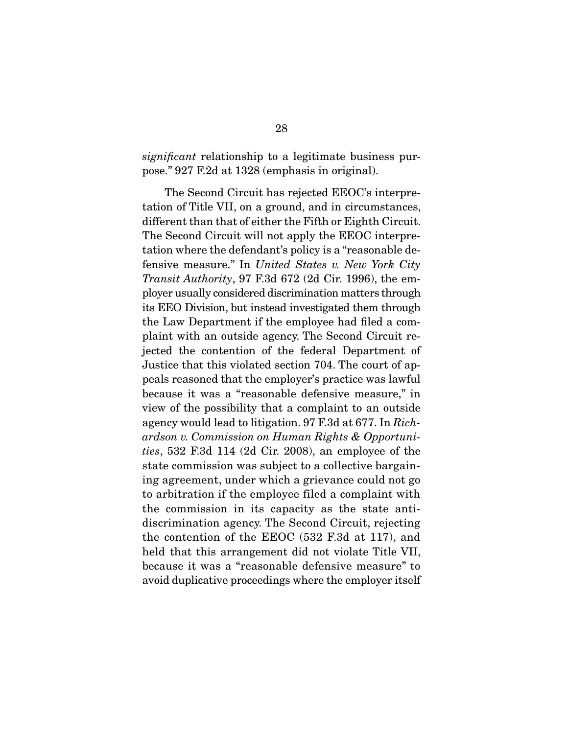significant relationship to a legitimate business purpose." 927 F.2d at 1328 (emphasis in original).

 The Second Circuit has rejected EEOC's interpretation of Title VII, on a ground, and in circumstances, different than that of either the Fifth or Eighth Circuit. The Second Circuit will not apply the EEOC interpretation where the defendant's policy is a "reasonable defensive measure." In United States v. New York City Transit Authority, 97 F.3d 672 (2d Cir. 1996), the employer usually considered discrimination matters through its EEO Division, but instead investigated them through the Law Department if the employee had filed a complaint with an outside agency. The Second Circuit rejected the contention of the federal Department of Justice that this violated section 704. The court of appeals reasoned that the employer's practice was lawful because it was a "reasonable defensive measure," in view of the possibility that a complaint to an outside agency would lead to litigation. 97 F.3d at 677. In Richardson v. Commission on Human Rights & Opportunities, 532 F.3d 114 (2d Cir. 2008), an employee of the state commission was subject to a collective bargaining agreement, under which a grievance could not go to arbitration if the employee filed a complaint with the commission in its capacity as the state antidiscrimination agency. The Second Circuit, rejecting the contention of the EEOC (532 F.3d at 117), and held that this arrangement did not violate Title VII, because it was a "reasonable defensive measure" to avoid duplicative proceedings where the employer itself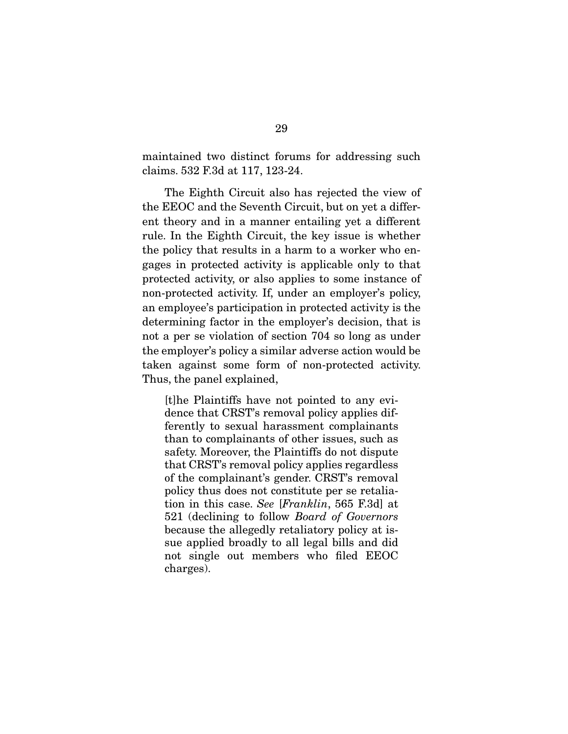maintained two distinct forums for addressing such claims. 532 F.3d at 117, 123-24.

The Eighth Circuit also has rejected the view of the EEOC and the Seventh Circuit, but on yet a different theory and in a manner entailing yet a different rule. In the Eighth Circuit, the key issue is whether the policy that results in a harm to a worker who engages in protected activity is applicable only to that protected activity, or also applies to some instance of non-protected activity. If, under an employer's policy, an employee's participation in protected activity is the determining factor in the employer's decision, that is not a per se violation of section 704 so long as under the employer's policy a similar adverse action would be taken against some form of non-protected activity. Thus, the panel explained,

[t]he Plaintiffs have not pointed to any evidence that CRST's removal policy applies differently to sexual harassment complainants than to complainants of other issues, such as safety. Moreover, the Plaintiffs do not dispute that CRST's removal policy applies regardless of the complainant's gender. CRST's removal policy thus does not constitute per se retaliation in this case. See [Franklin, 565 F.3d] at 521 (declining to follow Board of Governors because the allegedly retaliatory policy at issue applied broadly to all legal bills and did not single out members who filed EEOC charges).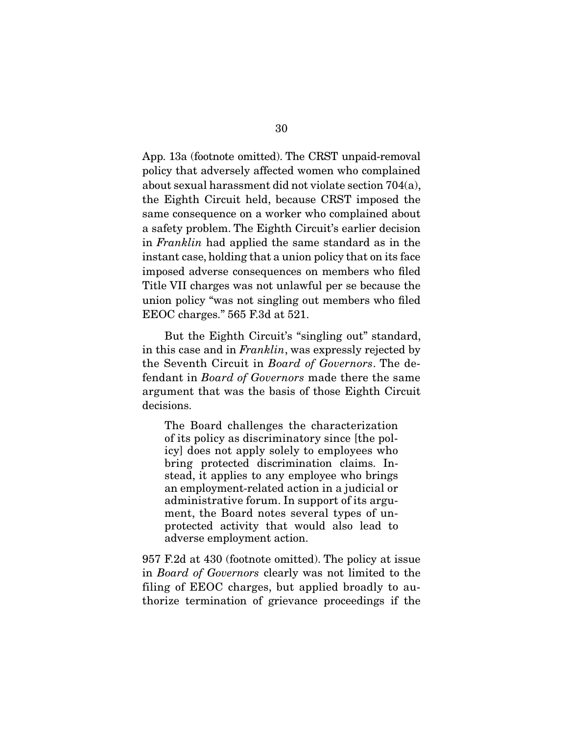App. 13a (footnote omitted). The CRST unpaid-removal policy that adversely affected women who complained about sexual harassment did not violate section 704(a), the Eighth Circuit held, because CRST imposed the same consequence on a worker who complained about a safety problem. The Eighth Circuit's earlier decision in Franklin had applied the same standard as in the instant case, holding that a union policy that on its face imposed adverse consequences on members who filed Title VII charges was not unlawful per se because the union policy "was not singling out members who filed EEOC charges." 565 F.3d at 521.

But the Eighth Circuit's "singling out" standard, in this case and in Franklin, was expressly rejected by the Seventh Circuit in Board of Governors. The defendant in Board of Governors made there the same argument that was the basis of those Eighth Circuit decisions.

The Board challenges the characterization of its policy as discriminatory since [the policy] does not apply solely to employees who bring protected discrimination claims. Instead, it applies to any employee who brings an employment-related action in a judicial or administrative forum. In support of its argument, the Board notes several types of unprotected activity that would also lead to adverse employment action.

957 F.2d at 430 (footnote omitted). The policy at issue in Board of Governors clearly was not limited to the filing of EEOC charges, but applied broadly to authorize termination of grievance proceedings if the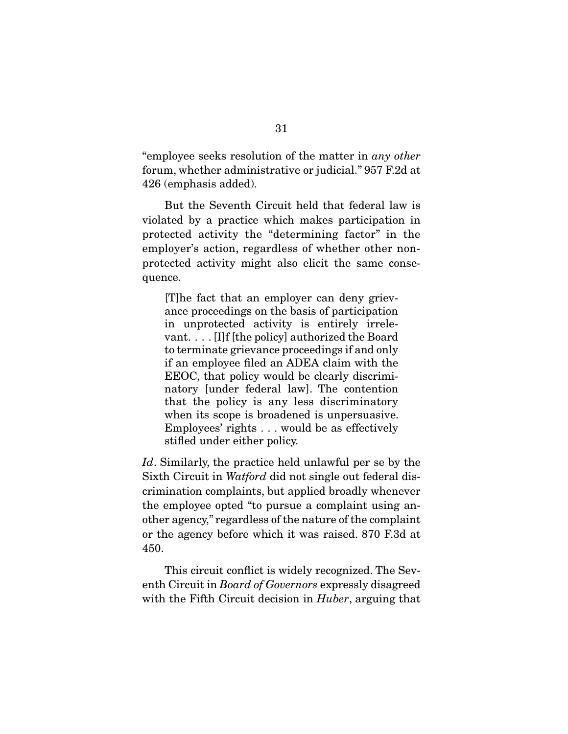"employee seeks resolution of the matter in any other forum, whether administrative or judicial." 957 F.2d at 426 (emphasis added).

 But the Seventh Circuit held that federal law is violated by a practice which makes participation in protected activity the "determining factor" in the employer's action, regardless of whether other nonprotected activity might also elicit the same consequence.

[T]he fact that an employer can deny grievance proceedings on the basis of participation in unprotected activity is entirely irrelevant. . . . [I]f [the policy] authorized the Board to terminate grievance proceedings if and only if an employee filed an ADEA claim with the EEOC, that policy would be clearly discriminatory [under federal law]. The contention that the policy is any less discriminatory when its scope is broadened is unpersuasive. Employees' rights . . . would be as effectively stifled under either policy.

Id. Similarly, the practice held unlawful per se by the Sixth Circuit in Watford did not single out federal discrimination complaints, but applied broadly whenever the employee opted "to pursue a complaint using another agency," regardless of the nature of the complaint or the agency before which it was raised. 870 F.3d at 450.

 This circuit conflict is widely recognized. The Seventh Circuit in Board of Governors expressly disagreed with the Fifth Circuit decision in *Huber*, arguing that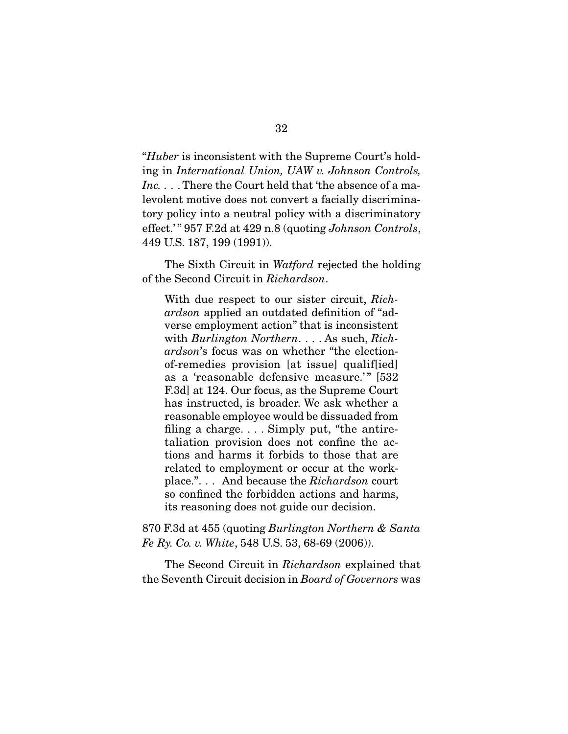"Huber is inconsistent with the Supreme Court's holding in International Union, UAW v. Johnson Controls, Inc. . . . There the Court held that 'the absence of a malevolent motive does not convert a facially discriminatory policy into a neutral policy with a discriminatory effect.'" 957 F.2d at 429 n.8 (quoting Johnson Controls, 449 U.S. 187, 199 (1991)).

The Sixth Circuit in *Watford* rejected the holding of the Second Circuit in Richardson.

With due respect to our sister circuit, Richardson applied an outdated definition of "adverse employment action" that is inconsistent with *Burlington Northern*... As such, *Rich*ardson's focus was on whether "the electionof-remedies provision [at issue] qualif[ied] as a 'reasonable defensive measure.'" [532 F.3d] at 124. Our focus, as the Supreme Court has instructed, is broader. We ask whether a reasonable employee would be dissuaded from filing a charge. . . . Simply put, "the antiretaliation provision does not confine the actions and harms it forbids to those that are related to employment or occur at the workplace.". . . And because the Richardson court so confined the forbidden actions and harms, its reasoning does not guide our decision.

870 F.3d at 455 (quoting Burlington Northern & Santa Fe Ry. Co. v. White, 548 U.S. 53, 68-69 (2006)).

 The Second Circuit in Richardson explained that the Seventh Circuit decision in Board of Governors was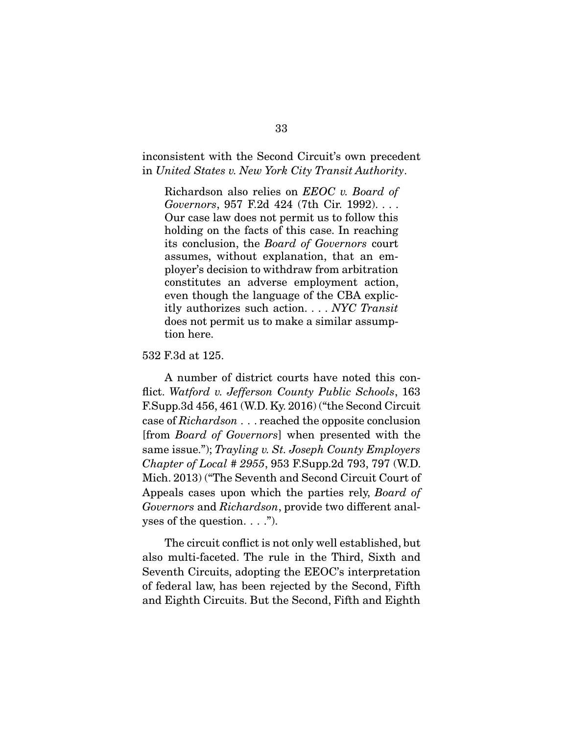inconsistent with the Second Circuit's own precedent in United States v. New York City Transit Authority.

Richardson also relies on EEOC v. Board of Governors, 957 F.2d 424 (7th Cir. 1992). . . . Our case law does not permit us to follow this holding on the facts of this case. In reaching its conclusion, the Board of Governors court assumes, without explanation, that an employer's decision to withdraw from arbitration constitutes an adverse employment action, even though the language of the CBA explicitly authorizes such action. . . . NYC Transit does not permit us to make a similar assumption here.

532 F.3d at 125.

 A number of district courts have noted this conflict. Watford v. Jefferson County Public Schools, 163 F.Supp.3d 456, 461 (W.D. Ky. 2016) ("the Second Circuit case of Richardson . . . reached the opposite conclusion [from Board of Governors] when presented with the same issue."); Trayling v. St. Joseph County Employers Chapter of Local # 2955, 953 F.Supp.2d 793, 797 (W.D. Mich. 2013) ("The Seventh and Second Circuit Court of Appeals cases upon which the parties rely, Board of Governors and Richardson, provide two different analyses of the question. . . .").

 The circuit conflict is not only well established, but also multi-faceted. The rule in the Third, Sixth and Seventh Circuits, adopting the EEOC's interpretation of federal law, has been rejected by the Second, Fifth and Eighth Circuits. But the Second, Fifth and Eighth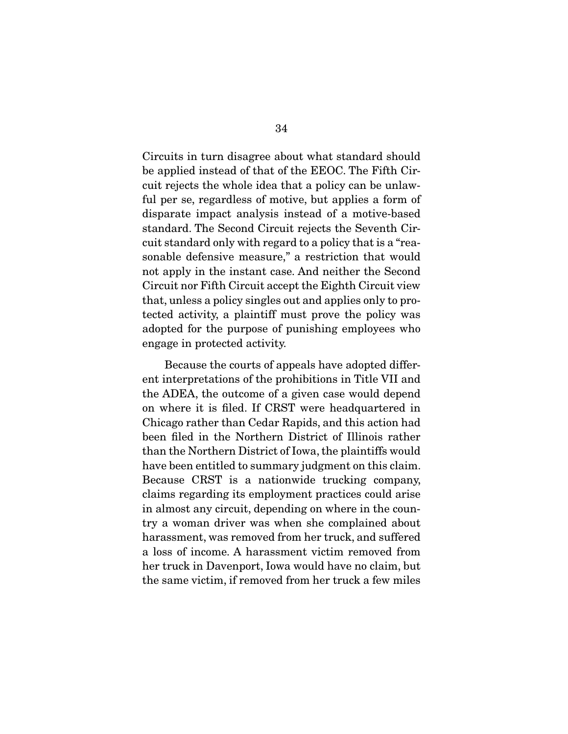Circuits in turn disagree about what standard should be applied instead of that of the EEOC. The Fifth Circuit rejects the whole idea that a policy can be unlawful per se, regardless of motive, but applies a form of disparate impact analysis instead of a motive-based standard. The Second Circuit rejects the Seventh Circuit standard only with regard to a policy that is a "reasonable defensive measure," a restriction that would not apply in the instant case. And neither the Second Circuit nor Fifth Circuit accept the Eighth Circuit view that, unless a policy singles out and applies only to protected activity, a plaintiff must prove the policy was adopted for the purpose of punishing employees who engage in protected activity.

 Because the courts of appeals have adopted different interpretations of the prohibitions in Title VII and the ADEA, the outcome of a given case would depend on where it is filed. If CRST were headquartered in Chicago rather than Cedar Rapids, and this action had been filed in the Northern District of Illinois rather than the Northern District of Iowa, the plaintiffs would have been entitled to summary judgment on this claim. Because CRST is a nationwide trucking company, claims regarding its employment practices could arise in almost any circuit, depending on where in the country a woman driver was when she complained about harassment, was removed from her truck, and suffered a loss of income. A harassment victim removed from her truck in Davenport, Iowa would have no claim, but the same victim, if removed from her truck a few miles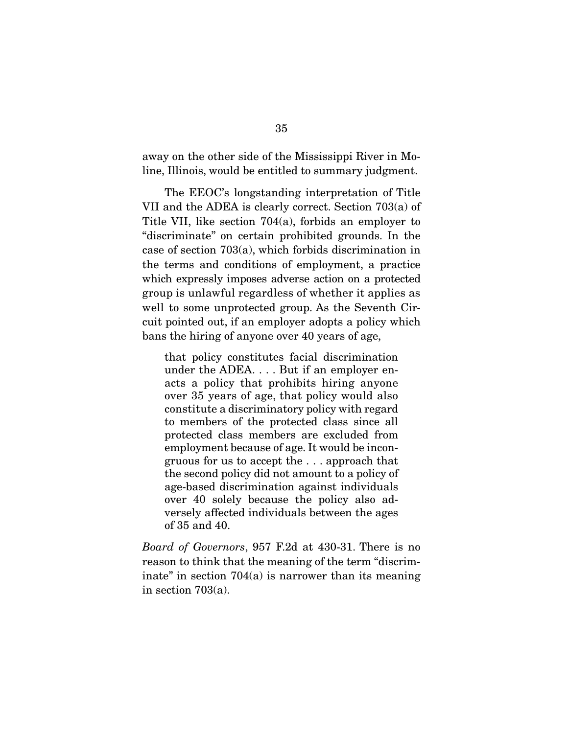away on the other side of the Mississippi River in Moline, Illinois, would be entitled to summary judgment.

 The EEOC's longstanding interpretation of Title VII and the ADEA is clearly correct. Section 703(a) of Title VII, like section 704(a), forbids an employer to "discriminate" on certain prohibited grounds. In the case of section 703(a), which forbids discrimination in the terms and conditions of employment, a practice which expressly imposes adverse action on a protected group is unlawful regardless of whether it applies as well to some unprotected group. As the Seventh Circuit pointed out, if an employer adopts a policy which bans the hiring of anyone over 40 years of age,

that policy constitutes facial discrimination under the ADEA. . . . But if an employer enacts a policy that prohibits hiring anyone over 35 years of age, that policy would also constitute a discriminatory policy with regard to members of the protected class since all protected class members are excluded from employment because of age. It would be incongruous for us to accept the . . . approach that the second policy did not amount to a policy of age-based discrimination against individuals over 40 solely because the policy also adversely affected individuals between the ages of 35 and 40.

Board of Governors, 957 F.2d at 430-31. There is no reason to think that the meaning of the term "discriminate" in section  $704(a)$  is narrower than its meaning in section 703(a).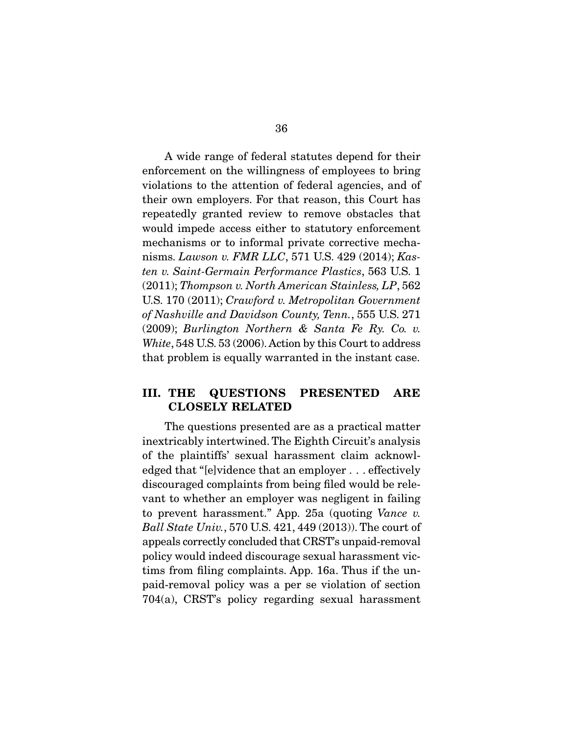A wide range of federal statutes depend for their enforcement on the willingness of employees to bring violations to the attention of federal agencies, and of their own employers. For that reason, this Court has repeatedly granted review to remove obstacles that would impede access either to statutory enforcement mechanisms or to informal private corrective mechanisms. Lawson v. FMR LLC, 571 U.S. 429 (2014); Kasten v. Saint-Germain Performance Plastics, 563 U.S. 1 (2011); Thompson v. North American Stainless, LP, 562 U.S. 170 (2011); Crawford v. Metropolitan Government of Nashville and Davidson County, Tenn., 555 U.S. 271 (2009); Burlington Northern & Santa Fe Ry. Co. v. White, 548 U.S. 53 (2006). Action by this Court to address that problem is equally warranted in the instant case.

### **III. THE QUESTIONS PRESENTED ARE CLOSELY RELATED**

The questions presented are as a practical matter inextricably intertwined. The Eighth Circuit's analysis of the plaintiffs' sexual harassment claim acknowledged that "[e]vidence that an employer . . . effectively discouraged complaints from being filed would be relevant to whether an employer was negligent in failing to prevent harassment." App. 25a (quoting Vance v. Ball State Univ., 570 U.S. 421, 449 (2013)). The court of appeals correctly concluded that CRST's unpaid-removal policy would indeed discourage sexual harassment victims from filing complaints. App. 16a. Thus if the unpaid-removal policy was a per se violation of section 704(a), CRST's policy regarding sexual harassment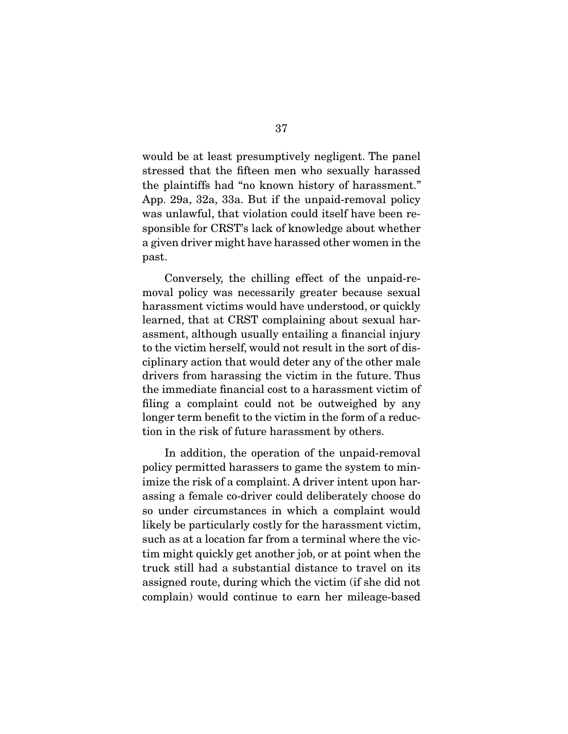would be at least presumptively negligent. The panel stressed that the fifteen men who sexually harassed the plaintiffs had "no known history of harassment." App. 29a, 32a, 33a. But if the unpaid-removal policy was unlawful, that violation could itself have been responsible for CRST's lack of knowledge about whether a given driver might have harassed other women in the past.

 Conversely, the chilling effect of the unpaid-removal policy was necessarily greater because sexual harassment victims would have understood, or quickly learned, that at CRST complaining about sexual harassment, although usually entailing a financial injury to the victim herself, would not result in the sort of disciplinary action that would deter any of the other male drivers from harassing the victim in the future. Thus the immediate financial cost to a harassment victim of filing a complaint could not be outweighed by any longer term benefit to the victim in the form of a reduction in the risk of future harassment by others.

 In addition, the operation of the unpaid-removal policy permitted harassers to game the system to minimize the risk of a complaint. A driver intent upon harassing a female co-driver could deliberately choose do so under circumstances in which a complaint would likely be particularly costly for the harassment victim, such as at a location far from a terminal where the victim might quickly get another job, or at point when the truck still had a substantial distance to travel on its assigned route, during which the victim (if she did not complain) would continue to earn her mileage-based